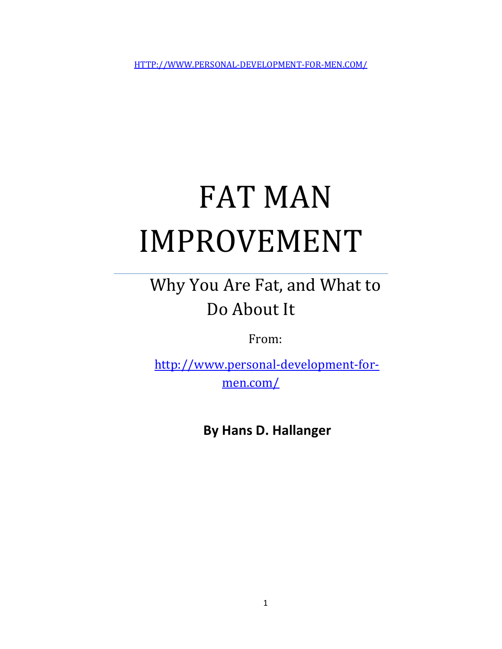HTTP://WWW.PERSONAL-DEVELOPMENT-FOR-MEN.COM/

# FAT MAN IMPROVEMENT

# Why You Are Fat, and What to Do About It

From:

http://www.personal-development-formen.com/

 **By Hans D. Hallanger**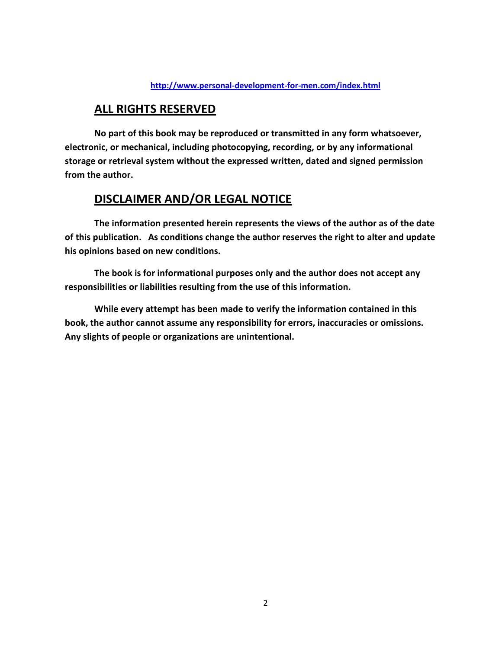#### **http://www.personal-development-for-men.com/index.html**

#### **ALL RIGHTS RESERVED**

**No part of this book may be reproduced or transmitted in any form whatsoever, electronic, or mechanical, including photocopying, recording, or by any informational storage or retrieval system without the expressed written, dated and signed permission from the author.** 

#### **DISCLAIMER AND/OR LEGAL NOTICE**

**The information presented herein represents the views of the author as of the date of this publication. As conditions change the author reserves the right to alter and update his opinions based on new conditions.** 

**The book is for informational purposes only and the author does not accept any responsibilities or liabilities resulting from the use of this information.** 

**While every attempt has been made to verify the information contained in this book, the author cannot assume any responsibility for errors, inaccuracies or omissions. Any slights of people or organizations are unintentional.**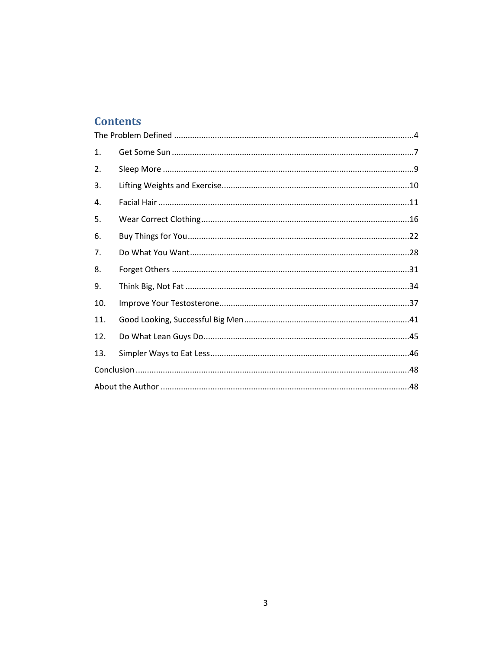# **Contents**

| 1.  |  |  |
|-----|--|--|
| 2.  |  |  |
| 3.  |  |  |
| 4.  |  |  |
| 5.  |  |  |
| 6.  |  |  |
| 7.  |  |  |
| 8.  |  |  |
| 9.  |  |  |
| 10. |  |  |
| 11. |  |  |
| 12. |  |  |
| 13. |  |  |
|     |  |  |
|     |  |  |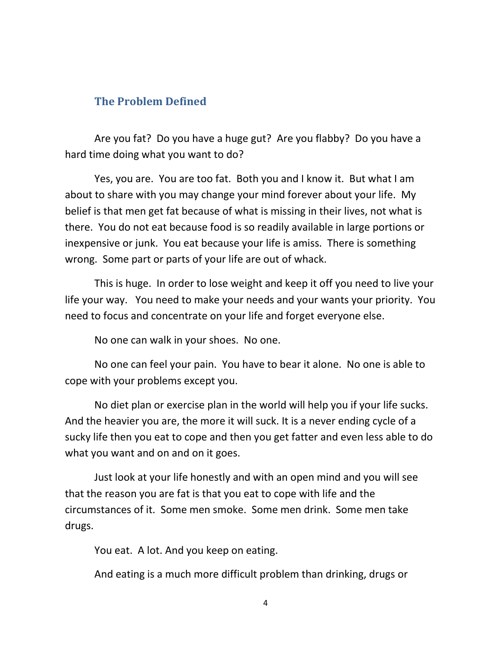#### **The Problem Defined**

Are you fat? Do you have a huge gut? Are you flabby? Do you have a hard time doing what you want to do?

Yes, you are. You are too fat. Both you and I know it. But what I am about to share with you may change your mind forever about your life. My belief is that men get fat because of what is missing in their lives, not what is there. You do not eat because food is so readily available in large portions or inexpensive or junk. You eat because your life is amiss. There is something wrong. Some part or parts of your life are out of whack.

This is huge. In order to lose weight and keep it off you need to live your life your way. You need to make your needs and your wants your priority. You need to focus and concentrate on your life and forget everyone else.

No one can walk in your shoes. No one.

No one can feel your pain. You have to bear it alone. No one is able to cope with your problems except you.

No diet plan or exercise plan in the world will help you if your life sucks. And the heavier you are, the more it will suck. It is a never ending cycle of a sucky life then you eat to cope and then you get fatter and even less able to do what you want and on and on it goes.

Just look at your life honestly and with an open mind and you will see that the reason you are fat is that you eat to cope with life and the circumstances of it. Some men smoke. Some men drink. Some men take drugs.

You eat. A lot. And you keep on eating.

And eating is a much more difficult problem than drinking, drugs or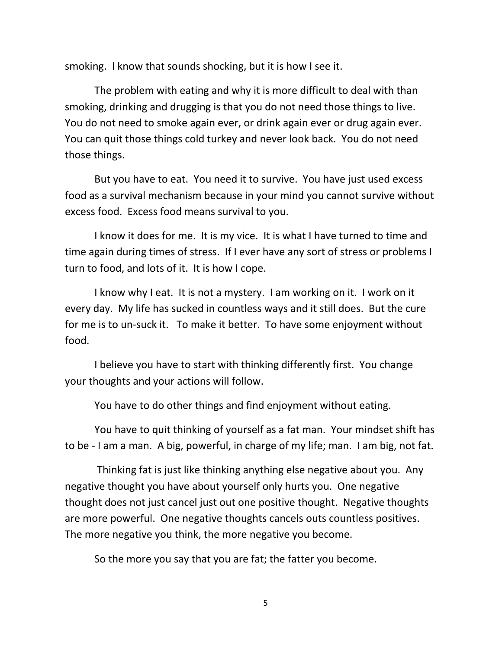smoking. I know that sounds shocking, but it is how I see it.

The problem with eating and why it is more difficult to deal with than smoking, drinking and drugging is that you do not need those things to live. You do not need to smoke again ever, or drink again ever or drug again ever. You can quit those things cold turkey and never look back. You do not need those things.

But you have to eat. You need it to survive. You have just used excess food as a survival mechanism because in your mind you cannot survive without excess food. Excess food means survival to you.

I know it does for me. It is my vice. It is what I have turned to time and time again during times of stress. If I ever have any sort of stress or problems I turn to food, and lots of it. It is how I cope.

I know why I eat. It is not a mystery. I am working on it. I work on it every day. My life has sucked in countless ways and it still does. But the cure for me is to un-suck it. To make it better. To have some enjoyment without food.

I believe you have to start with thinking differently first. You change your thoughts and your actions will follow.

You have to do other things and find enjoyment without eating.

You have to quit thinking of yourself as a fat man. Your mindset shift has to be - I am a man. A big, powerful, in charge of my life; man. I am big, not fat.

 Thinking fat is just like thinking anything else negative about you. Any negative thought you have about yourself only hurts you. One negative thought does not just cancel just out one positive thought. Negative thoughts are more powerful. One negative thoughts cancels outs countless positives. The more negative you think, the more negative you become.

So the more you say that you are fat; the fatter you become.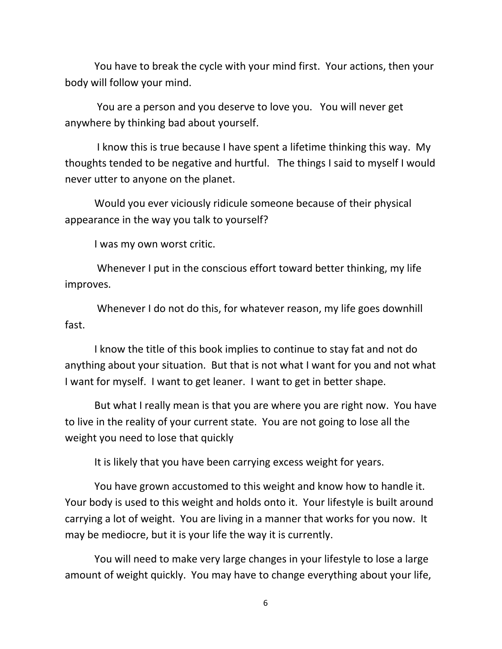You have to break the cycle with your mind first. Your actions, then your body will follow your mind.

 You are a person and you deserve to love you. You will never get anywhere by thinking bad about yourself.

 I know this is true because I have spent a lifetime thinking this way. My thoughts tended to be negative and hurtful. The things I said to myself I would never utter to anyone on the planet.

Would you ever viciously ridicule someone because of their physical appearance in the way you talk to yourself?

I was my own worst critic.

 Whenever I put in the conscious effort toward better thinking, my life improves.

 Whenever I do not do this, for whatever reason, my life goes downhill fast.

I know the title of this book implies to continue to stay fat and not do anything about your situation. But that is not what I want for you and not what I want for myself. I want to get leaner. I want to get in better shape.

But what I really mean is that you are where you are right now. You have to live in the reality of your current state. You are not going to lose all the weight you need to lose that quickly

It is likely that you have been carrying excess weight for years.

You have grown accustomed to this weight and know how to handle it. Your body is used to this weight and holds onto it. Your lifestyle is built around carrying a lot of weight. You are living in a manner that works for you now. It may be mediocre, but it is your life the way it is currently.

You will need to make very large changes in your lifestyle to lose a large amount of weight quickly. You may have to change everything about your life,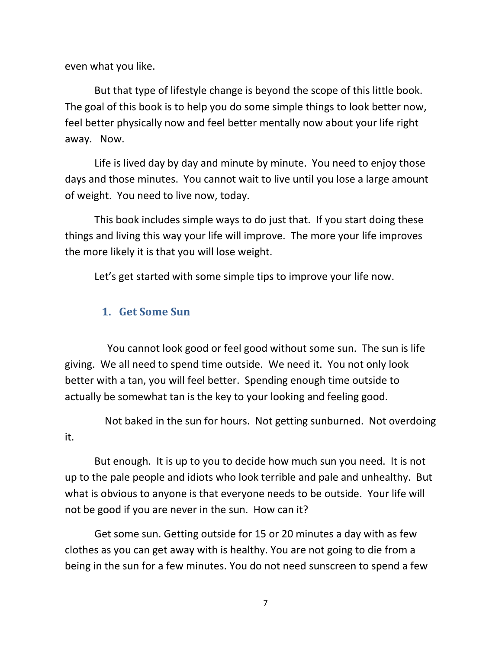even what you like.

But that type of lifestyle change is beyond the scope of this little book. The goal of this book is to help you do some simple things to look better now, feel better physically now and feel better mentally now about your life right away. Now.

Life is lived day by day and minute by minute. You need to enjoy those days and those minutes. You cannot wait to live until you lose a large amount of weight. You need to live now, today.

This book includes simple ways to do just that. If you start doing these things and living this way your life will improve. The more your life improves the more likely it is that you will lose weight.

Let's get started with some simple tips to improve your life now.

#### **1. Get Some Sun**

 You cannot look good or feel good without some sun. The sun is life giving. We all need to spend time outside. We need it. You not only look better with a tan, you will feel better. Spending enough time outside to actually be somewhat tan is the key to your looking and feeling good.

 Not baked in the sun for hours. Not getting sunburned. Not overdoing it.

But enough. It is up to you to decide how much sun you need. It is not up to the pale people and idiots who look terrible and pale and unhealthy. But what is obvious to anyone is that everyone needs to be outside. Your life will not be good if you are never in the sun. How can it?

Get some sun. Getting outside for 15 or 20 minutes a day with as few clothes as you can get away with is healthy. You are not going to die from a being in the sun for a few minutes. You do not need sunscreen to spend a few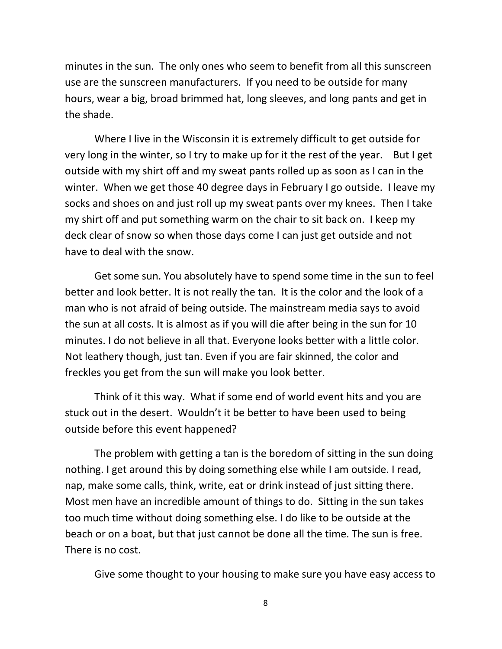minutes in the sun. The only ones who seem to benefit from all this sunscreen use are the sunscreen manufacturers. If you need to be outside for many hours, wear a big, broad brimmed hat, long sleeves, and long pants and get in the shade.

Where I live in the Wisconsin it is extremely difficult to get outside for very long in the winter, so I try to make up for it the rest of the year. But I get outside with my shirt off and my sweat pants rolled up as soon as I can in the winter. When we get those 40 degree days in February I go outside. I leave my socks and shoes on and just roll up my sweat pants over my knees. Then I take my shirt off and put something warm on the chair to sit back on. I keep my deck clear of snow so when those days come I can just get outside and not have to deal with the snow.

Get some sun. You absolutely have to spend some time in the sun to feel better and look better. It is not really the tan. It is the color and the look of a man who is not afraid of being outside. The mainstream media says to avoid the sun at all costs. It is almost as if you will die after being in the sun for 10 minutes. I do not believe in all that. Everyone looks better with a little color. Not leathery though, just tan. Even if you are fair skinned, the color and freckles you get from the sun will make you look better.

Think of it this way. What if some end of world event hits and you are stuck out in the desert. Wouldn't it be better to have been used to being outside before this event happened?

The problem with getting a tan is the boredom of sitting in the sun doing nothing. I get around this by doing something else while I am outside. I read, nap, make some calls, think, write, eat or drink instead of just sitting there. Most men have an incredible amount of things to do. Sitting in the sun takes too much time without doing something else. I do like to be outside at the beach or on a boat, but that just cannot be done all the time. The sun is free. There is no cost.

Give some thought to your housing to make sure you have easy access to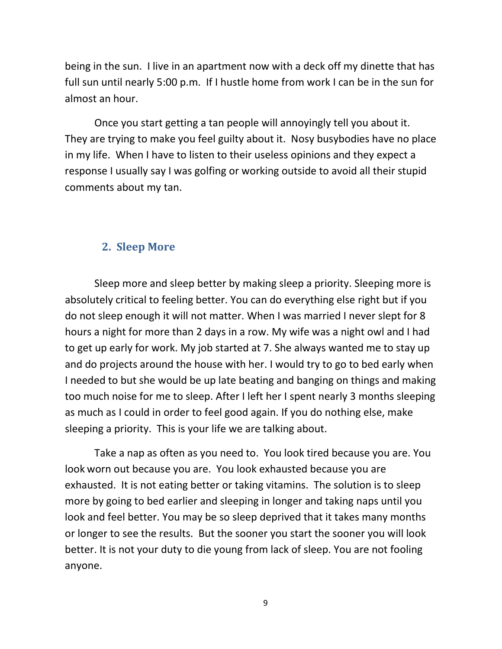being in the sun. I live in an apartment now with a deck off my dinette that has full sun until nearly 5:00 p.m. If I hustle home from work I can be in the sun for almost an hour.

Once you start getting a tan people will annoyingly tell you about it. They are trying to make you feel guilty about it. Nosy busybodies have no place in my life. When I have to listen to their useless opinions and they expect a response I usually say I was golfing or working outside to avoid all their stupid comments about my tan.

#### **2. Sleep More**

Sleep more and sleep better by making sleep a priority. Sleeping more is absolutely critical to feeling better. You can do everything else right but if you do not sleep enough it will not matter. When I was married I never slept for 8 hours a night for more than 2 days in a row. My wife was a night owl and I had to get up early for work. My job started at 7. She always wanted me to stay up and do projects around the house with her. I would try to go to bed early when I needed to but she would be up late beating and banging on things and making too much noise for me to sleep. After I left her I spent nearly 3 months sleeping as much as I could in order to feel good again. If you do nothing else, make sleeping a priority. This is your life we are talking about.

Take a nap as often as you need to. You look tired because you are. You look worn out because you are. You look exhausted because you are exhausted. It is not eating better or taking vitamins. The solution is to sleep more by going to bed earlier and sleeping in longer and taking naps until you look and feel better. You may be so sleep deprived that it takes many months or longer to see the results. But the sooner you start the sooner you will look better. It is not your duty to die young from lack of sleep. You are not fooling anyone.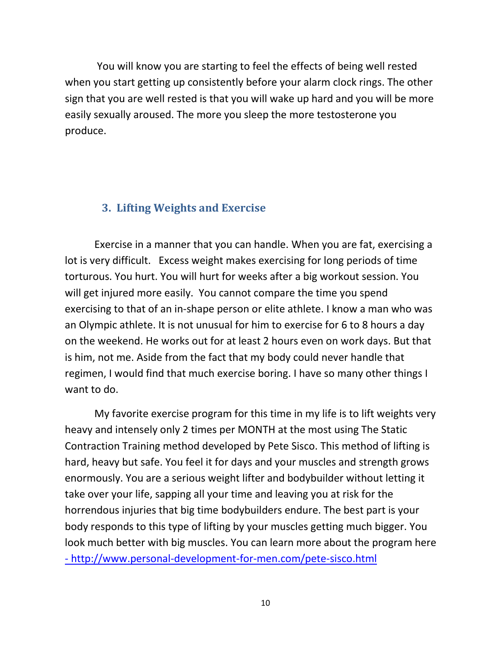You will know you are starting to feel the effects of being well rested when you start getting up consistently before your alarm clock rings. The other sign that you are well rested is that you will wake up hard and you will be more easily sexually aroused. The more you sleep the more testosterone you produce.

#### **3. Lifting Weights and Exercise**

Exercise in a manner that you can handle. When you are fat, exercising a lot is very difficult. Excess weight makes exercising for long periods of time torturous. You hurt. You will hurt for weeks after a big workout session. You will get injured more easily. You cannot compare the time you spend exercising to that of an in-shape person or elite athlete. I know a man who was an Olympic athlete. It is not unusual for him to exercise for 6 to 8 hours a day on the weekend. He works out for at least 2 hours even on work days. But that is him, not me. Aside from the fact that my body could never handle that regimen, I would find that much exercise boring. I have so many other things I want to do.

My favorite exercise program for this time in my life is to lift weights very heavy and intensely only 2 times per MONTH at the most using The Static Contraction Training method developed by Pete Sisco. This method of lifting is hard, heavy but safe. You feel it for days and your muscles and strength grows enormously. You are a serious weight lifter and bodybuilder without letting it take over your life, sapping all your time and leaving you at risk for the horrendous injuries that big time bodybuilders endure. The best part is your body responds to this type of lifting by your muscles getting much bigger. You look much better with big muscles. You can learn more about the program here - http://www.personal-development-for-men.com/pete-sisco.html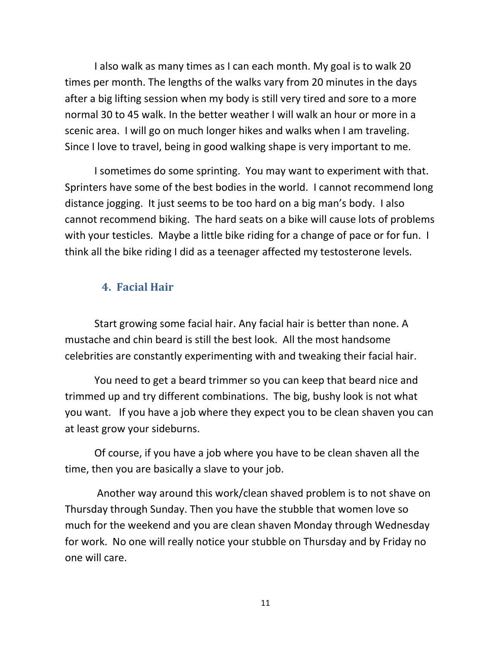I also walk as many times as I can each month. My goal is to walk 20 times per month. The lengths of the walks vary from 20 minutes in the days after a big lifting session when my body is still very tired and sore to a more normal 30 to 45 walk. In the better weather I will walk an hour or more in a scenic area. I will go on much longer hikes and walks when I am traveling. Since I love to travel, being in good walking shape is very important to me.

I sometimes do some sprinting. You may want to experiment with that. Sprinters have some of the best bodies in the world. I cannot recommend long distance jogging. It just seems to be too hard on a big man's body. I also cannot recommend biking. The hard seats on a bike will cause lots of problems with your testicles. Maybe a little bike riding for a change of pace or for fun. I think all the bike riding I did as a teenager affected my testosterone levels.

#### **4. Facial Hair**

Start growing some facial hair. Any facial hair is better than none. A mustache and chin beard is still the best look. All the most handsome celebrities are constantly experimenting with and tweaking their facial hair.

You need to get a beard trimmer so you can keep that beard nice and trimmed up and try different combinations. The big, bushy look is not what you want. If you have a job where they expect you to be clean shaven you can at least grow your sideburns.

Of course, if you have a job where you have to be clean shaven all the time, then you are basically a slave to your job.

 Another way around this work/clean shaved problem is to not shave on Thursday through Sunday. Then you have the stubble that women love so much for the weekend and you are clean shaven Monday through Wednesday for work. No one will really notice your stubble on Thursday and by Friday no one will care.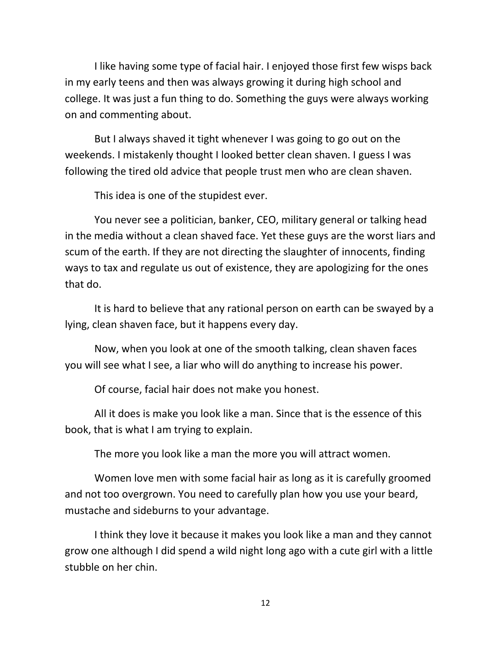I like having some type of facial hair. I enjoyed those first few wisps back in my early teens and then was always growing it during high school and college. It was just a fun thing to do. Something the guys were always working on and commenting about.

But I always shaved it tight whenever I was going to go out on the weekends. I mistakenly thought I looked better clean shaven. I guess I was following the tired old advice that people trust men who are clean shaven.

This idea is one of the stupidest ever.

You never see a politician, banker, CEO, military general or talking head in the media without a clean shaved face. Yet these guys are the worst liars and scum of the earth. If they are not directing the slaughter of innocents, finding ways to tax and regulate us out of existence, they are apologizing for the ones that do.

It is hard to believe that any rational person on earth can be swayed by a lying, clean shaven face, but it happens every day.

Now, when you look at one of the smooth talking, clean shaven faces you will see what I see, a liar who will do anything to increase his power.

Of course, facial hair does not make you honest.

All it does is make you look like a man. Since that is the essence of this book, that is what I am trying to explain.

The more you look like a man the more you will attract women.

Women love men with some facial hair as long as it is carefully groomed and not too overgrown. You need to carefully plan how you use your beard, mustache and sideburns to your advantage.

I think they love it because it makes you look like a man and they cannot grow one although I did spend a wild night long ago with a cute girl with a little stubble on her chin.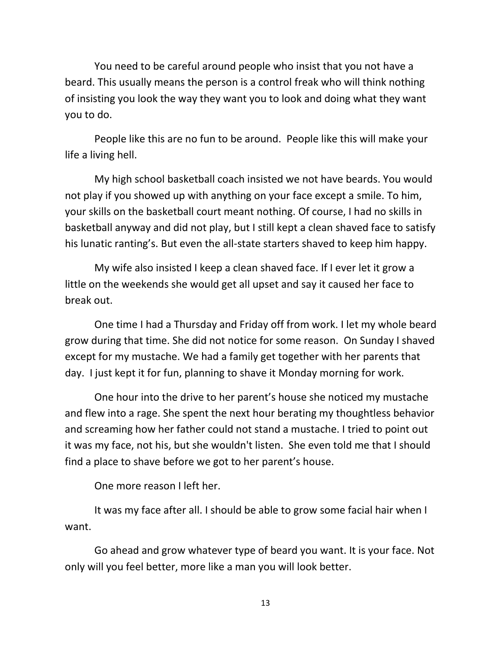You need to be careful around people who insist that you not have a beard. This usually means the person is a control freak who will think nothing of insisting you look the way they want you to look and doing what they want you to do.

People like this are no fun to be around. People like this will make your life a living hell.

My high school basketball coach insisted we not have beards. You would not play if you showed up with anything on your face except a smile. To him, your skills on the basketball court meant nothing. Of course, I had no skills in basketball anyway and did not play, but I still kept a clean shaved face to satisfy his lunatic ranting's. But even the all-state starters shaved to keep him happy.

My wife also insisted I keep a clean shaved face. If I ever let it grow a little on the weekends she would get all upset and say it caused her face to break out.

One time I had a Thursday and Friday off from work. I let my whole beard grow during that time. She did not notice for some reason. On Sunday I shaved except for my mustache. We had a family get together with her parents that day. I just kept it for fun, planning to shave it Monday morning for work.

One hour into the drive to her parent's house she noticed my mustache and flew into a rage. She spent the next hour berating my thoughtless behavior and screaming how her father could not stand a mustache. I tried to point out it was my face, not his, but she wouldn't listen. She even told me that I should find a place to shave before we got to her parent's house.

One more reason I left her.

It was my face after all. I should be able to grow some facial hair when I want.

Go ahead and grow whatever type of beard you want. It is your face. Not only will you feel better, more like a man you will look better.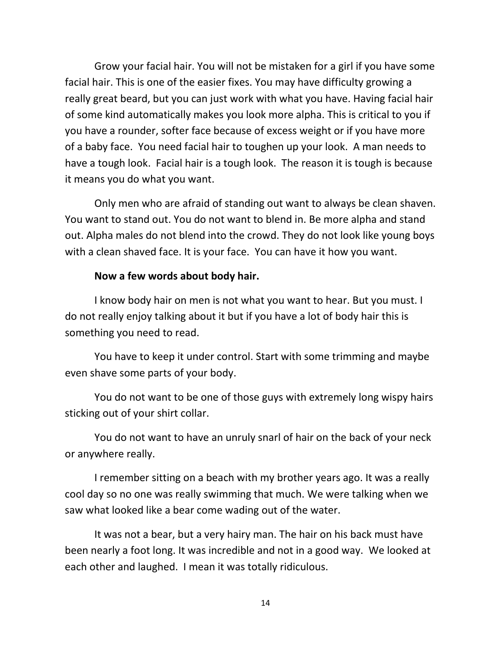Grow your facial hair. You will not be mistaken for a girl if you have some facial hair. This is one of the easier fixes. You may have difficulty growing a really great beard, but you can just work with what you have. Having facial hair of some kind automatically makes you look more alpha. This is critical to you if you have a rounder, softer face because of excess weight or if you have more of a baby face. You need facial hair to toughen up your look. A man needs to have a tough look. Facial hair is a tough look. The reason it is tough is because it means you do what you want.

Only men who are afraid of standing out want to always be clean shaven. You want to stand out. You do not want to blend in. Be more alpha and stand out. Alpha males do not blend into the crowd. They do not look like young boys with a clean shaved face. It is your face. You can have it how you want.

#### **Now a few words about body hair.**

I know body hair on men is not what you want to hear. But you must. I do not really enjoy talking about it but if you have a lot of body hair this is something you need to read.

You have to keep it under control. Start with some trimming and maybe even shave some parts of your body.

You do not want to be one of those guys with extremely long wispy hairs sticking out of your shirt collar.

You do not want to have an unruly snarl of hair on the back of your neck or anywhere really.

I remember sitting on a beach with my brother years ago. It was a really cool day so no one was really swimming that much. We were talking when we saw what looked like a bear come wading out of the water.

It was not a bear, but a very hairy man. The hair on his back must have been nearly a foot long. It was incredible and not in a good way. We looked at each other and laughed. I mean it was totally ridiculous.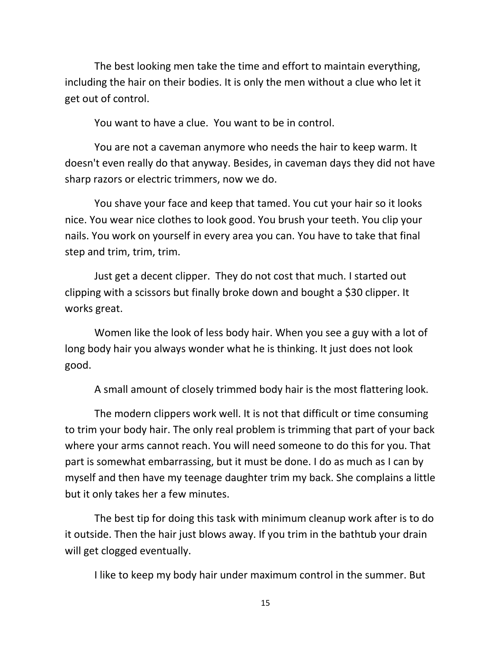The best looking men take the time and effort to maintain everything, including the hair on their bodies. It is only the men without a clue who let it get out of control.

You want to have a clue. You want to be in control.

You are not a caveman anymore who needs the hair to keep warm. It doesn't even really do that anyway. Besides, in caveman days they did not have sharp razors or electric trimmers, now we do.

You shave your face and keep that tamed. You cut your hair so it looks nice. You wear nice clothes to look good. You brush your teeth. You clip your nails. You work on yourself in every area you can. You have to take that final step and trim, trim, trim.

Just get a decent clipper. They do not cost that much. I started out clipping with a scissors but finally broke down and bought a \$30 clipper. It works great.

Women like the look of less body hair. When you see a guy with a lot of long body hair you always wonder what he is thinking. It just does not look good.

A small amount of closely trimmed body hair is the most flattering look.

The modern clippers work well. It is not that difficult or time consuming to trim your body hair. The only real problem is trimming that part of your back where your arms cannot reach. You will need someone to do this for you. That part is somewhat embarrassing, but it must be done. I do as much as I can by myself and then have my teenage daughter trim my back. She complains a little but it only takes her a few minutes.

The best tip for doing this task with minimum cleanup work after is to do it outside. Then the hair just blows away. If you trim in the bathtub your drain will get clogged eventually.

I like to keep my body hair under maximum control in the summer. But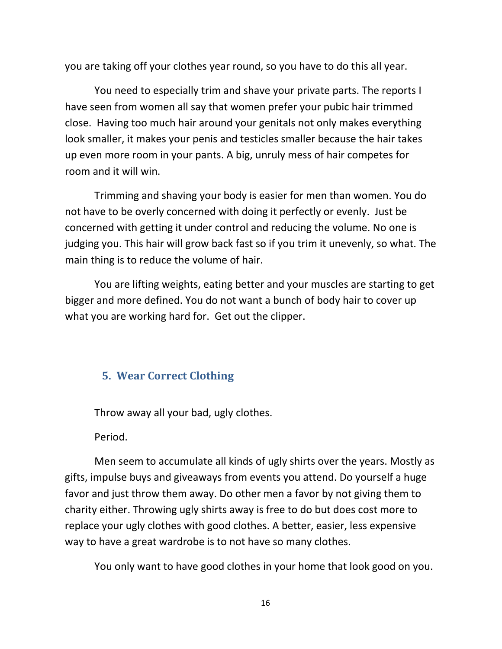you are taking off your clothes year round, so you have to do this all year.

You need to especially trim and shave your private parts. The reports I have seen from women all say that women prefer your pubic hair trimmed close. Having too much hair around your genitals not only makes everything look smaller, it makes your penis and testicles smaller because the hair takes up even more room in your pants. A big, unruly mess of hair competes for room and it will win.

Trimming and shaving your body is easier for men than women. You do not have to be overly concerned with doing it perfectly or evenly. Just be concerned with getting it under control and reducing the volume. No one is judging you. This hair will grow back fast so if you trim it unevenly, so what. The main thing is to reduce the volume of hair.

You are lifting weights, eating better and your muscles are starting to get bigger and more defined. You do not want a bunch of body hair to cover up what you are working hard for. Get out the clipper.

# **5. Wear Correct Clothing**

Throw away all your bad, ugly clothes.

Period.

Men seem to accumulate all kinds of ugly shirts over the years. Mostly as gifts, impulse buys and giveaways from events you attend. Do yourself a huge favor and just throw them away. Do other men a favor by not giving them to charity either. Throwing ugly shirts away is free to do but does cost more to replace your ugly clothes with good clothes. A better, easier, less expensive way to have a great wardrobe is to not have so many clothes.

You only want to have good clothes in your home that look good on you.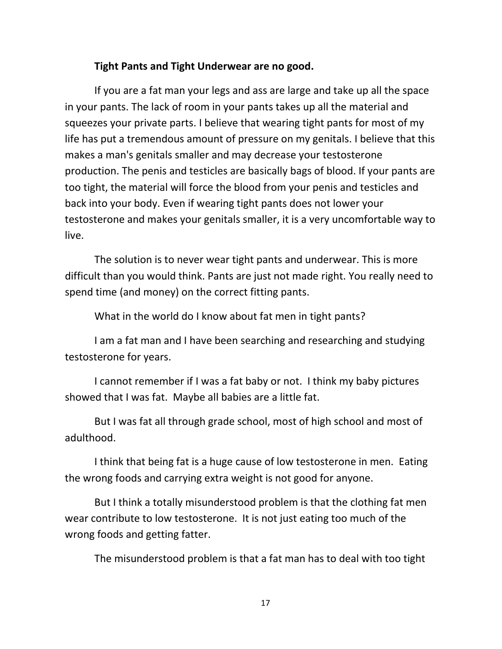#### **Tight Pants and Tight Underwear are no good.**

If you are a fat man your legs and ass are large and take up all the space in your pants. The lack of room in your pants takes up all the material and squeezes your private parts. I believe that wearing tight pants for most of my life has put a tremendous amount of pressure on my genitals. I believe that this makes a man's genitals smaller and may decrease your testosterone production. The penis and testicles are basically bags of blood. If your pants are too tight, the material will force the blood from your penis and testicles and back into your body. Even if wearing tight pants does not lower your testosterone and makes your genitals smaller, it is a very uncomfortable way to live.

The solution is to never wear tight pants and underwear. This is more difficult than you would think. Pants are just not made right. You really need to spend time (and money) on the correct fitting pants.

What in the world do I know about fat men in tight pants?

I am a fat man and I have been searching and researching and studying testosterone for years.

I cannot remember if I was a fat baby or not. I think my baby pictures showed that I was fat. Maybe all babies are a little fat.

But I was fat all through grade school, most of high school and most of adulthood.

I think that being fat is a huge cause of low testosterone in men. Eating the wrong foods and carrying extra weight is not good for anyone.

But I think a totally misunderstood problem is that the clothing fat men wear contribute to low testosterone. It is not just eating too much of the wrong foods and getting fatter.

The misunderstood problem is that a fat man has to deal with too tight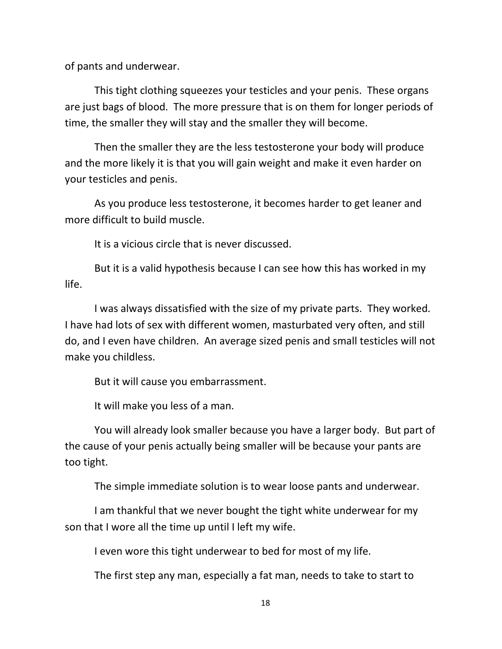of pants and underwear.

This tight clothing squeezes your testicles and your penis. These organs are just bags of blood. The more pressure that is on them for longer periods of time, the smaller they will stay and the smaller they will become.

Then the smaller they are the less testosterone your body will produce and the more likely it is that you will gain weight and make it even harder on your testicles and penis.

As you produce less testosterone, it becomes harder to get leaner and more difficult to build muscle.

It is a vicious circle that is never discussed.

But it is a valid hypothesis because I can see how this has worked in my life.

I was always dissatisfied with the size of my private parts. They worked. I have had lots of sex with different women, masturbated very often, and still do, and I even have children. An average sized penis and small testicles will not make you childless.

But it will cause you embarrassment.

It will make you less of a man.

You will already look smaller because you have a larger body. But part of the cause of your penis actually being smaller will be because your pants are too tight.

The simple immediate solution is to wear loose pants and underwear.

I am thankful that we never bought the tight white underwear for my son that I wore all the time up until I left my wife.

I even wore this tight underwear to bed for most of my life.

The first step any man, especially a fat man, needs to take to start to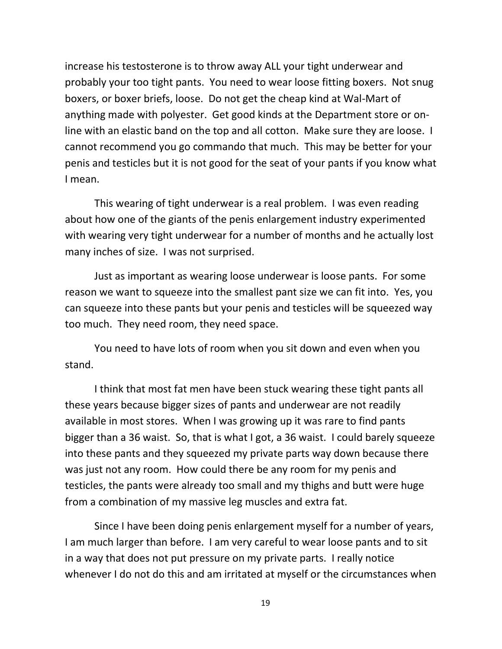increase his testosterone is to throw away ALL your tight underwear and probably your too tight pants. You need to wear loose fitting boxers. Not snug boxers, or boxer briefs, loose. Do not get the cheap kind at Wal-Mart of anything made with polyester. Get good kinds at the Department store or online with an elastic band on the top and all cotton. Make sure they are loose. I cannot recommend you go commando that much. This may be better for your penis and testicles but it is not good for the seat of your pants if you know what I mean.

This wearing of tight underwear is a real problem. I was even reading about how one of the giants of the penis enlargement industry experimented with wearing very tight underwear for a number of months and he actually lost many inches of size. I was not surprised.

Just as important as wearing loose underwear is loose pants. For some reason we want to squeeze into the smallest pant size we can fit into. Yes, you can squeeze into these pants but your penis and testicles will be squeezed way too much. They need room, they need space.

You need to have lots of room when you sit down and even when you stand.

I think that most fat men have been stuck wearing these tight pants all these years because bigger sizes of pants and underwear are not readily available in most stores. When I was growing up it was rare to find pants bigger than a 36 waist. So, that is what I got, a 36 waist. I could barely squeeze into these pants and they squeezed my private parts way down because there was just not any room. How could there be any room for my penis and testicles, the pants were already too small and my thighs and butt were huge from a combination of my massive leg muscles and extra fat.

Since I have been doing penis enlargement myself for a number of years, I am much larger than before. I am very careful to wear loose pants and to sit in a way that does not put pressure on my private parts. I really notice whenever I do not do this and am irritated at myself or the circumstances when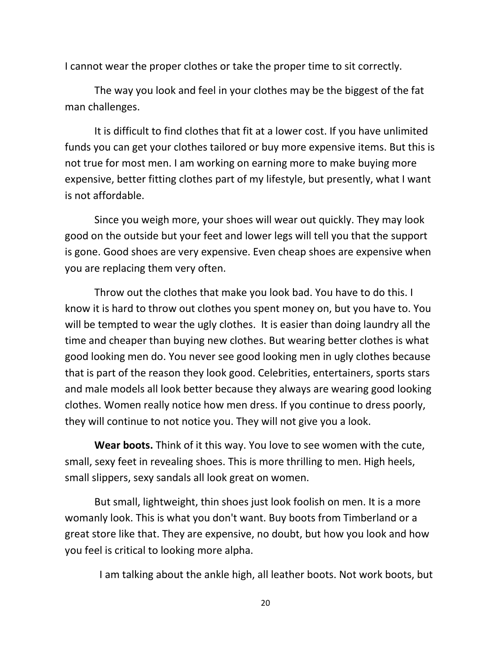I cannot wear the proper clothes or take the proper time to sit correctly.

The way you look and feel in your clothes may be the biggest of the fat man challenges.

It is difficult to find clothes that fit at a lower cost. If you have unlimited funds you can get your clothes tailored or buy more expensive items. But this is not true for most men. I am working on earning more to make buying more expensive, better fitting clothes part of my lifestyle, but presently, what I want is not affordable.

Since you weigh more, your shoes will wear out quickly. They may look good on the outside but your feet and lower legs will tell you that the support is gone. Good shoes are very expensive. Even cheap shoes are expensive when you are replacing them very often.

Throw out the clothes that make you look bad. You have to do this. I know it is hard to throw out clothes you spent money on, but you have to. You will be tempted to wear the ugly clothes. It is easier than doing laundry all the time and cheaper than buying new clothes. But wearing better clothes is what good looking men do. You never see good looking men in ugly clothes because that is part of the reason they look good. Celebrities, entertainers, sports stars and male models all look better because they always are wearing good looking clothes. Women really notice how men dress. If you continue to dress poorly, they will continue to not notice you. They will not give you a look.

**Wear boots.** Think of it this way. You love to see women with the cute, small, sexy feet in revealing shoes. This is more thrilling to men. High heels, small slippers, sexy sandals all look great on women.

But small, lightweight, thin shoes just look foolish on men. It is a more womanly look. This is what you don't want. Buy boots from Timberland or a great store like that. They are expensive, no doubt, but how you look and how you feel is critical to looking more alpha.

I am talking about the ankle high, all leather boots. Not work boots, but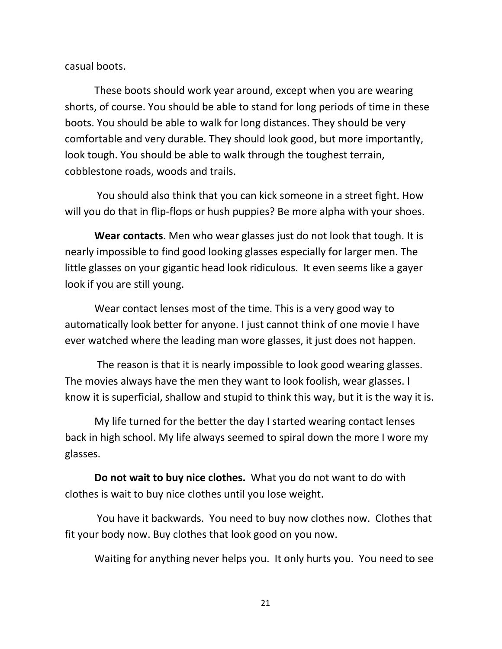casual boots.

These boots should work year around, except when you are wearing shorts, of course. You should be able to stand for long periods of time in these boots. You should be able to walk for long distances. They should be very comfortable and very durable. They should look good, but more importantly, look tough. You should be able to walk through the toughest terrain, cobblestone roads, woods and trails.

 You should also think that you can kick someone in a street fight. How will you do that in flip-flops or hush puppies? Be more alpha with your shoes.

**Wear contacts**. Men who wear glasses just do not look that tough. It is nearly impossible to find good looking glasses especially for larger men. The little glasses on your gigantic head look ridiculous. It even seems like a gayer look if you are still young.

Wear contact lenses most of the time. This is a very good way to automatically look better for anyone. I just cannot think of one movie I have ever watched where the leading man wore glasses, it just does not happen.

 The reason is that it is nearly impossible to look good wearing glasses. The movies always have the men they want to look foolish, wear glasses. I know it is superficial, shallow and stupid to think this way, but it is the way it is.

My life turned for the better the day I started wearing contact lenses back in high school. My life always seemed to spiral down the more I wore my glasses.

**Do not wait to buy nice clothes.** What you do not want to do with clothes is wait to buy nice clothes until you lose weight.

 You have it backwards. You need to buy now clothes now. Clothes that fit your body now. Buy clothes that look good on you now.

Waiting for anything never helps you. It only hurts you. You need to see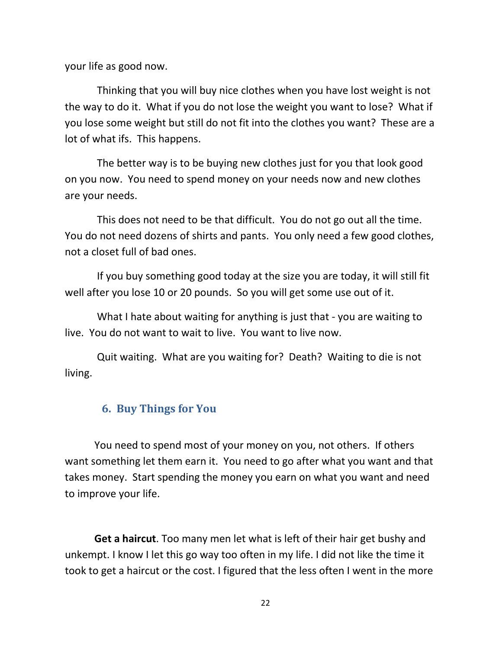your life as good now.

 Thinking that you will buy nice clothes when you have lost weight is not the way to do it. What if you do not lose the weight you want to lose? What if you lose some weight but still do not fit into the clothes you want? These are a lot of what ifs. This happens.

 The better way is to be buying new clothes just for you that look good on you now. You need to spend money on your needs now and new clothes are your needs.

 This does not need to be that difficult. You do not go out all the time. You do not need dozens of shirts and pants. You only need a few good clothes, not a closet full of bad ones.

 If you buy something good today at the size you are today, it will still fit well after you lose 10 or 20 pounds. So you will get some use out of it.

 What I hate about waiting for anything is just that - you are waiting to live. You do not want to wait to live. You want to live now.

 Quit waiting. What are you waiting for? Death? Waiting to die is not living.

#### **6. Buy Things for You**

You need to spend most of your money on you, not others. If others want something let them earn it. You need to go after what you want and that takes money. Start spending the money you earn on what you want and need to improve your life.

**Get a haircut**. Too many men let what is left of their hair get bushy and unkempt. I know I let this go way too often in my life. I did not like the time it took to get a haircut or the cost. I figured that the less often I went in the more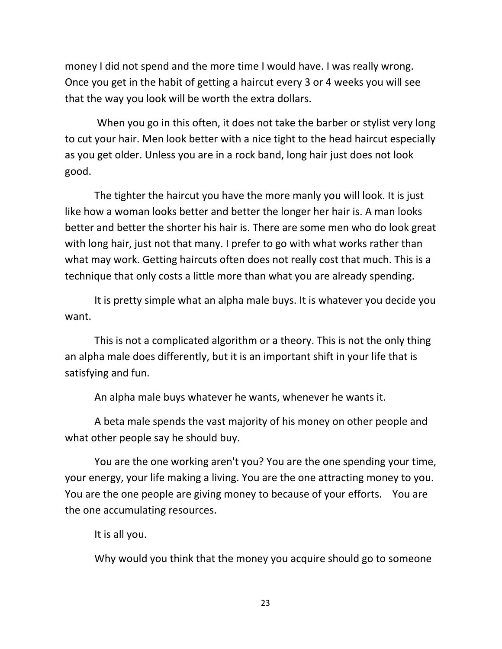money I did not spend and the more time I would have. I was really wrong. Once you get in the habit of getting a haircut every 3 or 4 weeks you will see that the way you look will be worth the extra dollars.

 When you go in this often, it does not take the barber or stylist very long to cut your hair. Men look better with a nice tight to the head haircut especially as you get older. Unless you are in a rock band, long hair just does not look good.

The tighter the haircut you have the more manly you will look. It is just like how a woman looks better and better the longer her hair is. A man looks better and better the shorter his hair is. There are some men who do look great with long hair, just not that many. I prefer to go with what works rather than what may work. Getting haircuts often does not really cost that much. This is a technique that only costs a little more than what you are already spending.

It is pretty simple what an alpha male buys. It is whatever you decide you want.

This is not a complicated algorithm or a theory. This is not the only thing an alpha male does differently, but it is an important shift in your life that is satisfying and fun.

An alpha male buys whatever he wants, whenever he wants it.

A beta male spends the vast majority of his money on other people and what other people say he should buy.

You are the one working aren't you? You are the one spending your time, your energy, your life making a living. You are the one attracting money to you. You are the one people are giving money to because of your efforts. You are the one accumulating resources.

It is all you.

Why would you think that the money you acquire should go to someone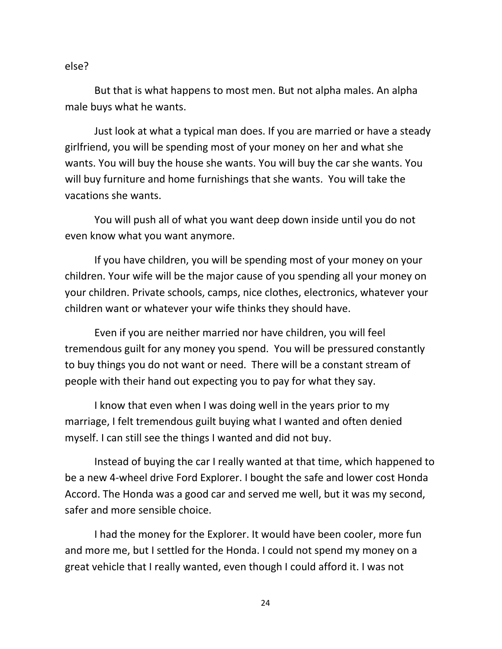#### else?

But that is what happens to most men. But not alpha males. An alpha male buys what he wants.

Just look at what a typical man does. If you are married or have a steady girlfriend, you will be spending most of your money on her and what she wants. You will buy the house she wants. You will buy the car she wants. You will buy furniture and home furnishings that she wants. You will take the vacations she wants.

You will push all of what you want deep down inside until you do not even know what you want anymore.

If you have children, you will be spending most of your money on your children. Your wife will be the major cause of you spending all your money on your children. Private schools, camps, nice clothes, electronics, whatever your children want or whatever your wife thinks they should have.

Even if you are neither married nor have children, you will feel tremendous guilt for any money you spend. You will be pressured constantly to buy things you do not want or need. There will be a constant stream of people with their hand out expecting you to pay for what they say.

I know that even when I was doing well in the years prior to my marriage, I felt tremendous guilt buying what I wanted and often denied myself. I can still see the things I wanted and did not buy.

Instead of buying the car I really wanted at that time, which happened to be a new 4-wheel drive Ford Explorer. I bought the safe and lower cost Honda Accord. The Honda was a good car and served me well, but it was my second, safer and more sensible choice.

I had the money for the Explorer. It would have been cooler, more fun and more me, but I settled for the Honda. I could not spend my money on a great vehicle that I really wanted, even though I could afford it. I was not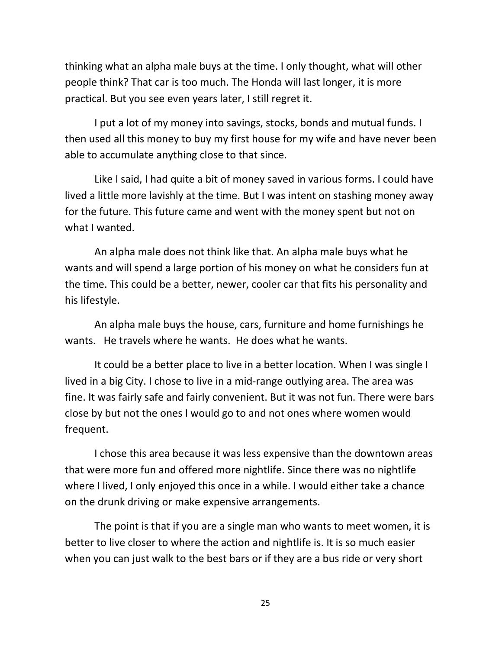thinking what an alpha male buys at the time. I only thought, what will other people think? That car is too much. The Honda will last longer, it is more practical. But you see even years later, I still regret it.

I put a lot of my money into savings, stocks, bonds and mutual funds. I then used all this money to buy my first house for my wife and have never been able to accumulate anything close to that since.

Like I said, I had quite a bit of money saved in various forms. I could have lived a little more lavishly at the time. But I was intent on stashing money away for the future. This future came and went with the money spent but not on what I wanted.

An alpha male does not think like that. An alpha male buys what he wants and will spend a large portion of his money on what he considers fun at the time. This could be a better, newer, cooler car that fits his personality and his lifestyle.

An alpha male buys the house, cars, furniture and home furnishings he wants. He travels where he wants. He does what he wants.

It could be a better place to live in a better location. When I was single I lived in a big City. I chose to live in a mid-range outlying area. The area was fine. It was fairly safe and fairly convenient. But it was not fun. There were bars close by but not the ones I would go to and not ones where women would frequent.

I chose this area because it was less expensive than the downtown areas that were more fun and offered more nightlife. Since there was no nightlife where I lived, I only enjoyed this once in a while. I would either take a chance on the drunk driving or make expensive arrangements.

The point is that if you are a single man who wants to meet women, it is better to live closer to where the action and nightlife is. It is so much easier when you can just walk to the best bars or if they are a bus ride or very short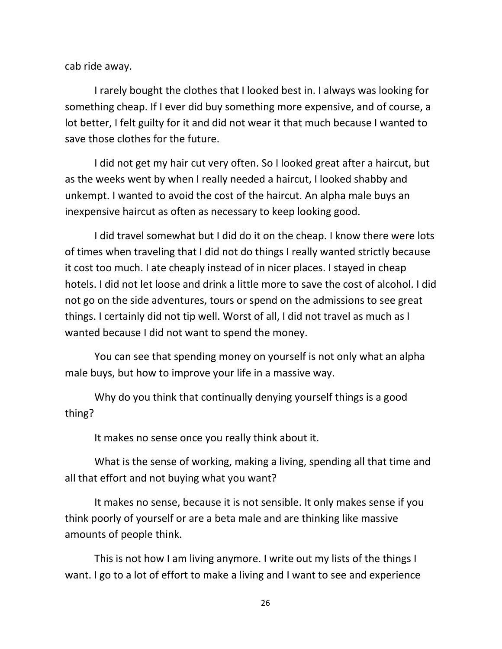cab ride away.

I rarely bought the clothes that I looked best in. I always was looking for something cheap. If I ever did buy something more expensive, and of course, a lot better, I felt guilty for it and did not wear it that much because I wanted to save those clothes for the future.

I did not get my hair cut very often. So I looked great after a haircut, but as the weeks went by when I really needed a haircut, I looked shabby and unkempt. I wanted to avoid the cost of the haircut. An alpha male buys an inexpensive haircut as often as necessary to keep looking good.

I did travel somewhat but I did do it on the cheap. I know there were lots of times when traveling that I did not do things I really wanted strictly because it cost too much. I ate cheaply instead of in nicer places. I stayed in cheap hotels. I did not let loose and drink a little more to save the cost of alcohol. I did not go on the side adventures, tours or spend on the admissions to see great things. I certainly did not tip well. Worst of all, I did not travel as much as I wanted because I did not want to spend the money.

You can see that spending money on yourself is not only what an alpha male buys, but how to improve your life in a massive way.

Why do you think that continually denying yourself things is a good thing?

It makes no sense once you really think about it.

What is the sense of working, making a living, spending all that time and all that effort and not buying what you want?

It makes no sense, because it is not sensible. It only makes sense if you think poorly of yourself or are a beta male and are thinking like massive amounts of people think.

This is not how I am living anymore. I write out my lists of the things I want. I go to a lot of effort to make a living and I want to see and experience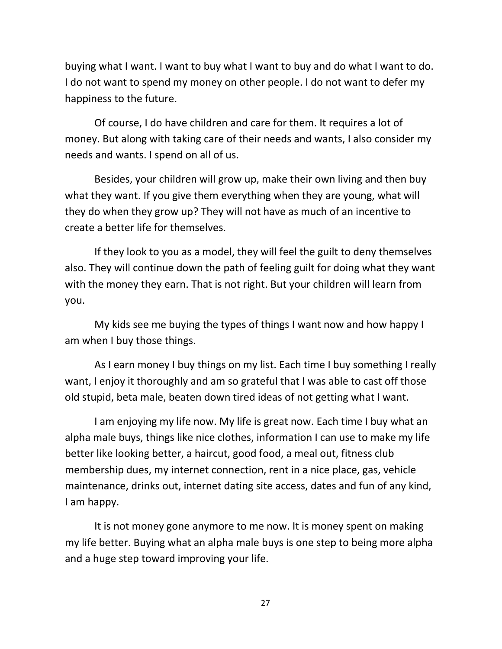buying what I want. I want to buy what I want to buy and do what I want to do. I do not want to spend my money on other people. I do not want to defer my happiness to the future.

Of course, I do have children and care for them. It requires a lot of money. But along with taking care of their needs and wants, I also consider my needs and wants. I spend on all of us.

Besides, your children will grow up, make their own living and then buy what they want. If you give them everything when they are young, what will they do when they grow up? They will not have as much of an incentive to create a better life for themselves.

If they look to you as a model, they will feel the guilt to deny themselves also. They will continue down the path of feeling guilt for doing what they want with the money they earn. That is not right. But your children will learn from you.

My kids see me buying the types of things I want now and how happy I am when I buy those things.

As I earn money I buy things on my list. Each time I buy something I really want, I enjoy it thoroughly and am so grateful that I was able to cast off those old stupid, beta male, beaten down tired ideas of not getting what I want.

I am enjoying my life now. My life is great now. Each time I buy what an alpha male buys, things like nice clothes, information I can use to make my life better like looking better, a haircut, good food, a meal out, fitness club membership dues, my internet connection, rent in a nice place, gas, vehicle maintenance, drinks out, internet dating site access, dates and fun of any kind, I am happy.

It is not money gone anymore to me now. It is money spent on making my life better. Buying what an alpha male buys is one step to being more alpha and a huge step toward improving your life.

27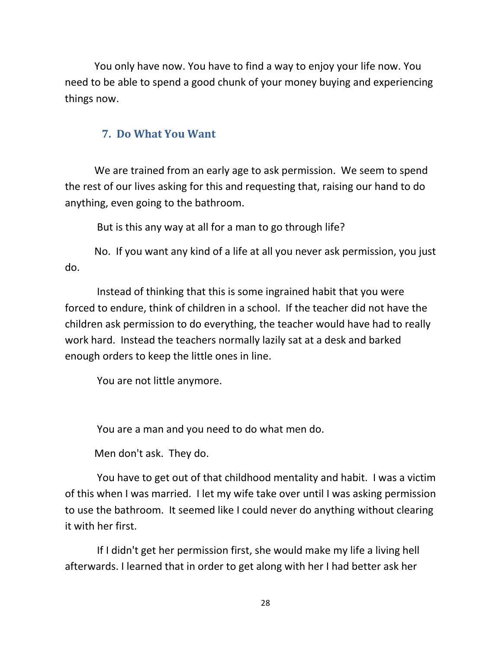You only have now. You have to find a way to enjoy your life now. You need to be able to spend a good chunk of your money buying and experiencing things now.

#### **7. Do What You Want**

We are trained from an early age to ask permission. We seem to spend the rest of our lives asking for this and requesting that, raising our hand to do anything, even going to the bathroom.

But is this any way at all for a man to go through life?

No. If you want any kind of a life at all you never ask permission, you just do.

 Instead of thinking that this is some ingrained habit that you were forced to endure, think of children in a school. If the teacher did not have the children ask permission to do everything, the teacher would have had to really work hard. Instead the teachers normally lazily sat at a desk and barked enough orders to keep the little ones in line.

You are not little anymore.

You are a man and you need to do what men do.

Men don't ask. They do.

 You have to get out of that childhood mentality and habit. I was a victim of this when I was married. I let my wife take over until I was asking permission to use the bathroom. It seemed like I could never do anything without clearing it with her first.

 If I didn't get her permission first, she would make my life a living hell afterwards. I learned that in order to get along with her I had better ask her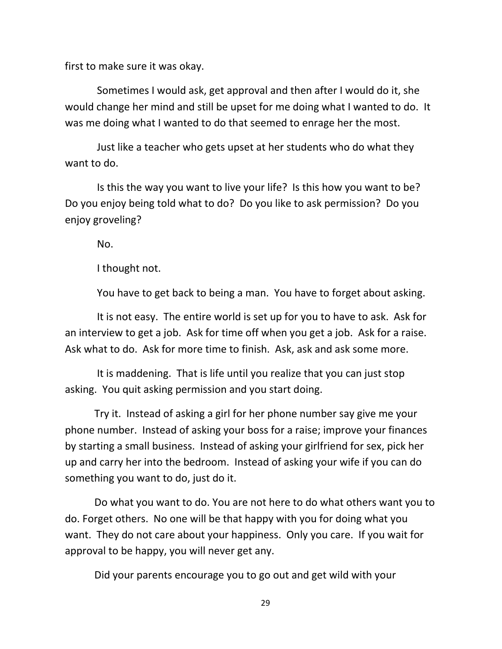first to make sure it was okay.

 Sometimes I would ask, get approval and then after I would do it, she would change her mind and still be upset for me doing what I wanted to do. It was me doing what I wanted to do that seemed to enrage her the most.

 Just like a teacher who gets upset at her students who do what they want to do.

 Is this the way you want to live your life? Is this how you want to be? Do you enjoy being told what to do? Do you like to ask permission? Do you enjoy groveling?

No.

I thought not.

You have to get back to being a man. You have to forget about asking.

 It is not easy. The entire world is set up for you to have to ask. Ask for an interview to get a job. Ask for time off when you get a job. Ask for a raise. Ask what to do. Ask for more time to finish. Ask, ask and ask some more.

 It is maddening. That is life until you realize that you can just stop asking. You quit asking permission and you start doing.

Try it. Instead of asking a girl for her phone number say give me your phone number. Instead of asking your boss for a raise; improve your finances by starting a small business. Instead of asking your girlfriend for sex, pick her up and carry her into the bedroom. Instead of asking your wife if you can do something you want to do, just do it.

Do what you want to do. You are not here to do what others want you to do. Forget others. No one will be that happy with you for doing what you want. They do not care about your happiness. Only you care. If you wait for approval to be happy, you will never get any.

Did your parents encourage you to go out and get wild with your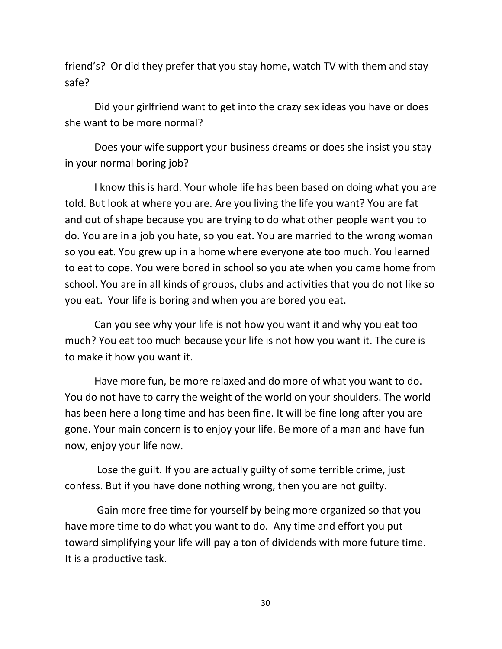friend's? Or did they prefer that you stay home, watch TV with them and stay safe?

Did your girlfriend want to get into the crazy sex ideas you have or does she want to be more normal?

Does your wife support your business dreams or does she insist you stay in your normal boring job?

I know this is hard. Your whole life has been based on doing what you are told. But look at where you are. Are you living the life you want? You are fat and out of shape because you are trying to do what other people want you to do. You are in a job you hate, so you eat. You are married to the wrong woman so you eat. You grew up in a home where everyone ate too much. You learned to eat to cope. You were bored in school so you ate when you came home from school. You are in all kinds of groups, clubs and activities that you do not like so you eat. Your life is boring and when you are bored you eat.

Can you see why your life is not how you want it and why you eat too much? You eat too much because your life is not how you want it. The cure is to make it how you want it.

Have more fun, be more relaxed and do more of what you want to do. You do not have to carry the weight of the world on your shoulders. The world has been here a long time and has been fine. It will be fine long after you are gone. Your main concern is to enjoy your life. Be more of a man and have fun now, enjoy your life now.

 Lose the guilt. If you are actually guilty of some terrible crime, just confess. But if you have done nothing wrong, then you are not guilty.

 Gain more free time for yourself by being more organized so that you have more time to do what you want to do. Any time and effort you put toward simplifying your life will pay a ton of dividends with more future time. It is a productive task.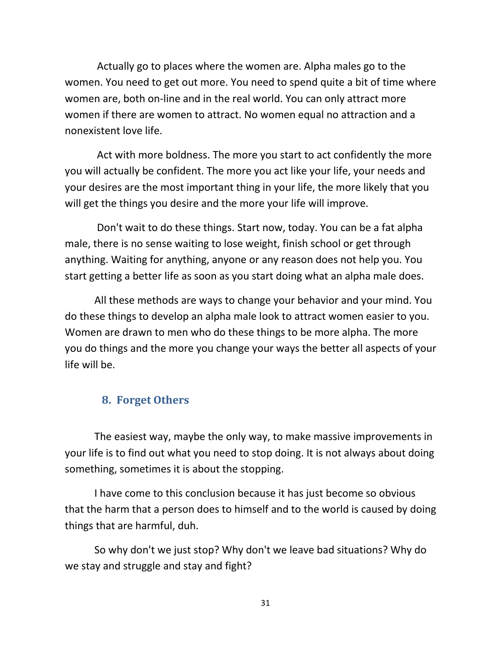Actually go to places where the women are. Alpha males go to the women. You need to get out more. You need to spend quite a bit of time where women are, both on-line and in the real world. You can only attract more women if there are women to attract. No women equal no attraction and a nonexistent love life.

 Act with more boldness. The more you start to act confidently the more you will actually be confident. The more you act like your life, your needs and your desires are the most important thing in your life, the more likely that you will get the things you desire and the more your life will improve.

 Don't wait to do these things. Start now, today. You can be a fat alpha male, there is no sense waiting to lose weight, finish school or get through anything. Waiting for anything, anyone or any reason does not help you. You start getting a better life as soon as you start doing what an alpha male does.

All these methods are ways to change your behavior and your mind. You do these things to develop an alpha male look to attract women easier to you. Women are drawn to men who do these things to be more alpha. The more you do things and the more you change your ways the better all aspects of your life will be.

#### **8. Forget Others**

The easiest way, maybe the only way, to make massive improvements in your life is to find out what you need to stop doing. It is not always about doing something, sometimes it is about the stopping.

I have come to this conclusion because it has just become so obvious that the harm that a person does to himself and to the world is caused by doing things that are harmful, duh.

So why don't we just stop? Why don't we leave bad situations? Why do we stay and struggle and stay and fight?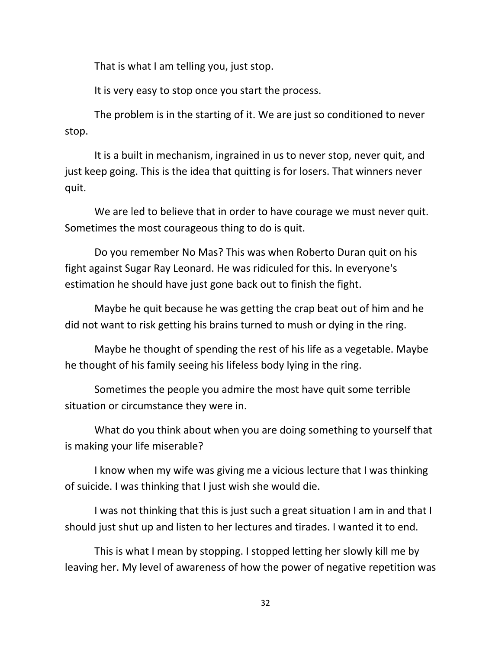That is what I am telling you, just stop.

It is very easy to stop once you start the process.

The problem is in the starting of it. We are just so conditioned to never stop.

It is a built in mechanism, ingrained in us to never stop, never quit, and just keep going. This is the idea that quitting is for losers. That winners never quit.

We are led to believe that in order to have courage we must never quit. Sometimes the most courageous thing to do is quit.

Do you remember No Mas? This was when Roberto Duran quit on his fight against Sugar Ray Leonard. He was ridiculed for this. In everyone's estimation he should have just gone back out to finish the fight.

Maybe he quit because he was getting the crap beat out of him and he did not want to risk getting his brains turned to mush or dying in the ring.

Maybe he thought of spending the rest of his life as a vegetable. Maybe he thought of his family seeing his lifeless body lying in the ring.

Sometimes the people you admire the most have quit some terrible situation or circumstance they were in.

What do you think about when you are doing something to yourself that is making your life miserable?

I know when my wife was giving me a vicious lecture that I was thinking of suicide. I was thinking that I just wish she would die.

I was not thinking that this is just such a great situation I am in and that I should just shut up and listen to her lectures and tirades. I wanted it to end.

This is what I mean by stopping. I stopped letting her slowly kill me by leaving her. My level of awareness of how the power of negative repetition was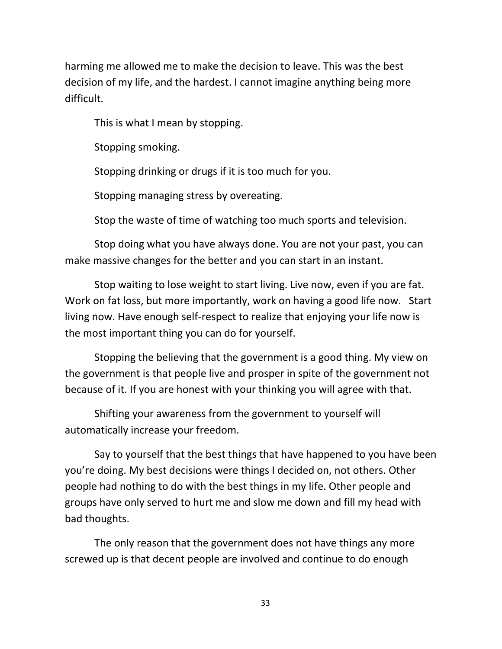harming me allowed me to make the decision to leave. This was the best decision of my life, and the hardest. I cannot imagine anything being more difficult.

This is what I mean by stopping.

Stopping smoking.

Stopping drinking or drugs if it is too much for you.

Stopping managing stress by overeating.

Stop the waste of time of watching too much sports and television.

Stop doing what you have always done. You are not your past, you can make massive changes for the better and you can start in an instant.

Stop waiting to lose weight to start living. Live now, even if you are fat. Work on fat loss, but more importantly, work on having a good life now. Start living now. Have enough self-respect to realize that enjoying your life now is the most important thing you can do for yourself.

Stopping the believing that the government is a good thing. My view on the government is that people live and prosper in spite of the government not because of it. If you are honest with your thinking you will agree with that.

Shifting your awareness from the government to yourself will automatically increase your freedom.

Say to yourself that the best things that have happened to you have been you're doing. My best decisions were things I decided on, not others. Other people had nothing to do with the best things in my life. Other people and groups have only served to hurt me and slow me down and fill my head with bad thoughts.

The only reason that the government does not have things any more screwed up is that decent people are involved and continue to do enough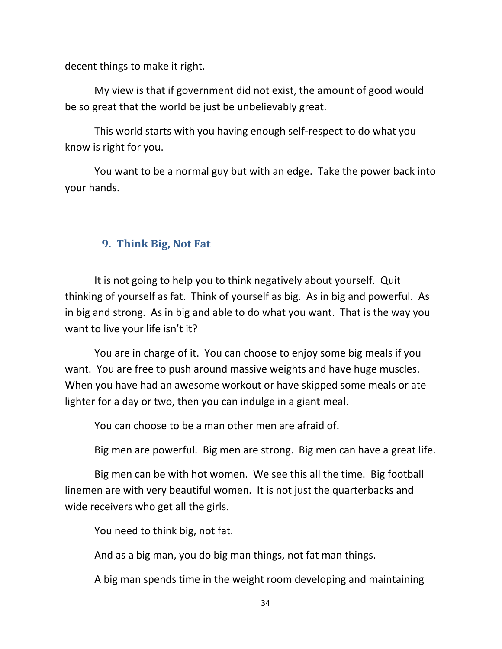decent things to make it right.

My view is that if government did not exist, the amount of good would be so great that the world be just be unbelievably great.

This world starts with you having enough self-respect to do what you know is right for you.

You want to be a normal guy but with an edge. Take the power back into your hands.

#### **9. Think Big, Not Fat**

It is not going to help you to think negatively about yourself. Quit thinking of yourself as fat. Think of yourself as big. As in big and powerful. As in big and strong. As in big and able to do what you want. That is the way you want to live your life isn't it?

You are in charge of it. You can choose to enjoy some big meals if you want. You are free to push around massive weights and have huge muscles. When you have had an awesome workout or have skipped some meals or ate lighter for a day or two, then you can indulge in a giant meal.

You can choose to be a man other men are afraid of.

Big men are powerful. Big men are strong. Big men can have a great life.

Big men can be with hot women. We see this all the time. Big football linemen are with very beautiful women. It is not just the quarterbacks and wide receivers who get all the girls.

You need to think big, not fat.

And as a big man, you do big man things, not fat man things.

A big man spends time in the weight room developing and maintaining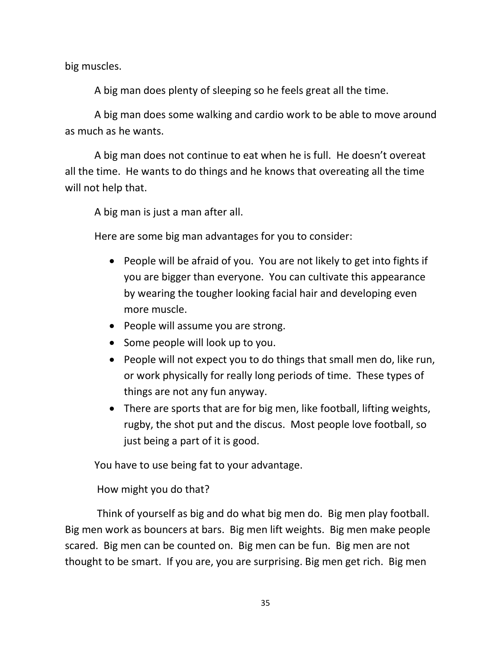big muscles.

A big man does plenty of sleeping so he feels great all the time.

A big man does some walking and cardio work to be able to move around as much as he wants.

A big man does not continue to eat when he is full. He doesn't overeat all the time. He wants to do things and he knows that overeating all the time will not help that.

A big man is just a man after all.

Here are some big man advantages for you to consider:

- People will be afraid of you. You are not likely to get into fights if you are bigger than everyone. You can cultivate this appearance by wearing the tougher looking facial hair and developing even more muscle.
- People will assume you are strong.
- Some people will look up to you.
- People will not expect you to do things that small men do, like run, or work physically for really long periods of time. These types of things are not any fun anyway.
- There are sports that are for big men, like football, lifting weights, rugby, the shot put and the discus. Most people love football, so just being a part of it is good.

You have to use being fat to your advantage.

How might you do that?

 Think of yourself as big and do what big men do. Big men play football. Big men work as bouncers at bars. Big men lift weights. Big men make people scared. Big men can be counted on. Big men can be fun. Big men are not thought to be smart. If you are, you are surprising. Big men get rich. Big men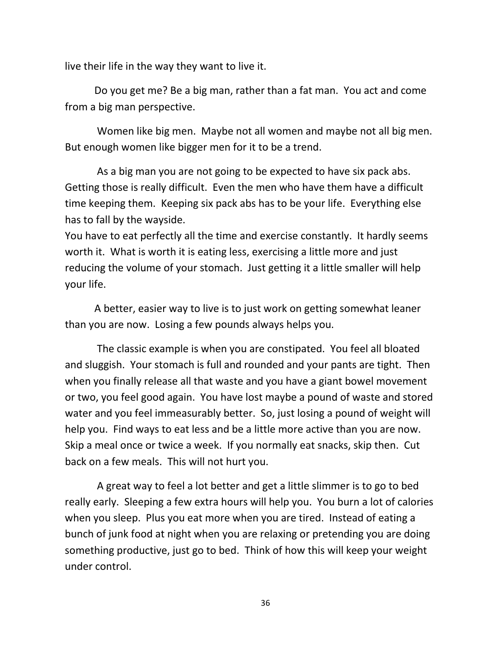live their life in the way they want to live it.

Do you get me? Be a big man, rather than a fat man. You act and come from a big man perspective.

 Women like big men. Maybe not all women and maybe not all big men. But enough women like bigger men for it to be a trend.

 As a big man you are not going to be expected to have six pack abs. Getting those is really difficult. Even the men who have them have a difficult time keeping them. Keeping six pack abs has to be your life. Everything else has to fall by the wayside.

You have to eat perfectly all the time and exercise constantly. It hardly seems worth it. What is worth it is eating less, exercising a little more and just reducing the volume of your stomach. Just getting it a little smaller will help your life.

A better, easier way to live is to just work on getting somewhat leaner than you are now. Losing a few pounds always helps you.

 The classic example is when you are constipated. You feel all bloated and sluggish. Your stomach is full and rounded and your pants are tight. Then when you finally release all that waste and you have a giant bowel movement or two, you feel good again. You have lost maybe a pound of waste and stored water and you feel immeasurably better. So, just losing a pound of weight will help you. Find ways to eat less and be a little more active than you are now. Skip a meal once or twice a week. If you normally eat snacks, skip then. Cut back on a few meals. This will not hurt you.

 A great way to feel a lot better and get a little slimmer is to go to bed really early. Sleeping a few extra hours will help you. You burn a lot of calories when you sleep. Plus you eat more when you are tired. Instead of eating a bunch of junk food at night when you are relaxing or pretending you are doing something productive, just go to bed. Think of how this will keep your weight under control.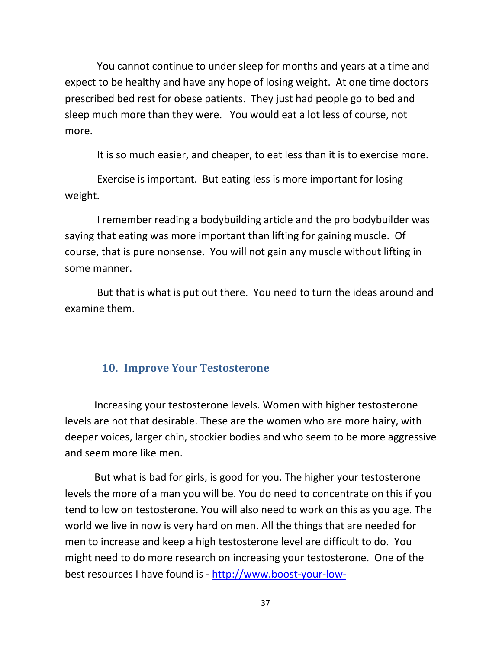You cannot continue to under sleep for months and years at a time and expect to be healthy and have any hope of losing weight. At one time doctors prescribed bed rest for obese patients. They just had people go to bed and sleep much more than they were. You would eat a lot less of course, not more.

It is so much easier, and cheaper, to eat less than it is to exercise more.

 Exercise is important. But eating less is more important for losing weight.

 I remember reading a bodybuilding article and the pro bodybuilder was saying that eating was more important than lifting for gaining muscle. Of course, that is pure nonsense. You will not gain any muscle without lifting in some manner.

 But that is what is put out there. You need to turn the ideas around and examine them.

#### **10. Improve Your Testosterone**

Increasing your testosterone levels. Women with higher testosterone levels are not that desirable. These are the women who are more hairy, with deeper voices, larger chin, stockier bodies and who seem to be more aggressive and seem more like men.

But what is bad for girls, is good for you. The higher your testosterone levels the more of a man you will be. You do need to concentrate on this if you tend to low on testosterone. You will also need to work on this as you age. The world we live in now is very hard on men. All the things that are needed for men to increase and keep a high testosterone level are difficult to do. You might need to do more research on increasing your testosterone. One of the best resources I have found is - http://www.boost-your-low-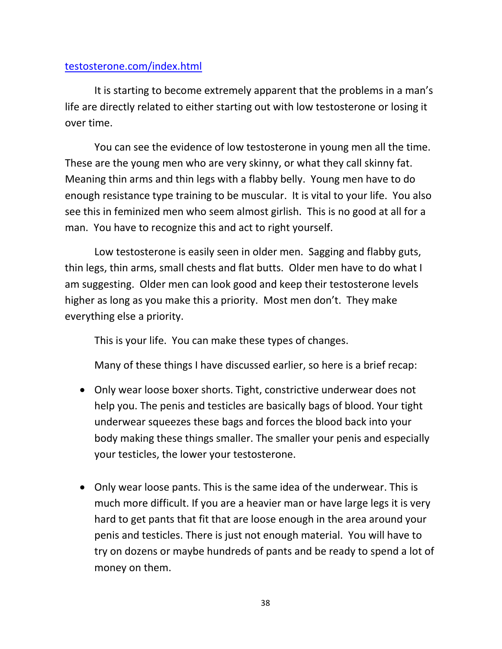#### testosterone.com/index.html

It is starting to become extremely apparent that the problems in a man's life are directly related to either starting out with low testosterone or losing it over time.

You can see the evidence of low testosterone in young men all the time. These are the young men who are very skinny, or what they call skinny fat. Meaning thin arms and thin legs with a flabby belly. Young men have to do enough resistance type training to be muscular. It is vital to your life. You also see this in feminized men who seem almost girlish. This is no good at all for a man. You have to recognize this and act to right yourself.

Low testosterone is easily seen in older men. Sagging and flabby guts, thin legs, thin arms, small chests and flat butts. Older men have to do what I am suggesting. Older men can look good and keep their testosterone levels higher as long as you make this a priority. Most men don't. They make everything else a priority.

This is your life. You can make these types of changes.

Many of these things I have discussed earlier, so here is a brief recap:

- Only wear loose boxer shorts. Tight, constrictive underwear does not help you. The penis and testicles are basically bags of blood. Your tight underwear squeezes these bags and forces the blood back into your body making these things smaller. The smaller your penis and especially your testicles, the lower your testosterone.
- Only wear loose pants. This is the same idea of the underwear. This is much more difficult. If you are a heavier man or have large legs it is very hard to get pants that fit that are loose enough in the area around your penis and testicles. There is just not enough material. You will have to try on dozens or maybe hundreds of pants and be ready to spend a lot of money on them.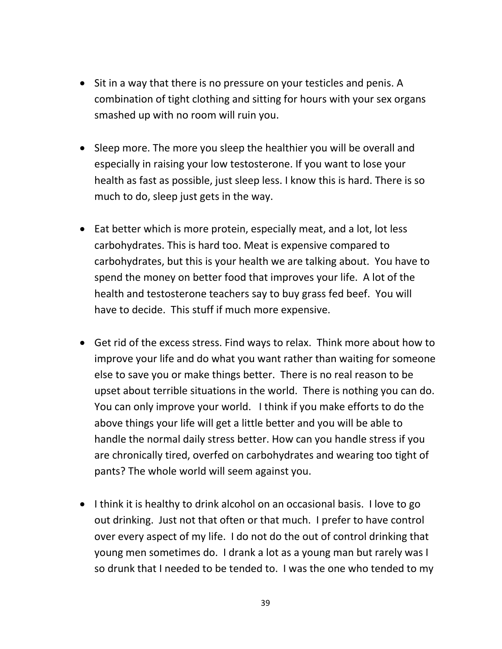- Sit in a way that there is no pressure on your testicles and penis. A combination of tight clothing and sitting for hours with your sex organs smashed up with no room will ruin you.
- Sleep more. The more you sleep the healthier you will be overall and especially in raising your low testosterone. If you want to lose your health as fast as possible, just sleep less. I know this is hard. There is so much to do, sleep just gets in the way.
- Eat better which is more protein, especially meat, and a lot, lot less carbohydrates. This is hard too. Meat is expensive compared to carbohydrates, but this is your health we are talking about. You have to spend the money on better food that improves your life. A lot of the health and testosterone teachers say to buy grass fed beef. You will have to decide. This stuff if much more expensive.
- Get rid of the excess stress. Find ways to relax. Think more about how to improve your life and do what you want rather than waiting for someone else to save you or make things better. There is no real reason to be upset about terrible situations in the world. There is nothing you can do. You can only improve your world. I think if you make efforts to do the above things your life will get a little better and you will be able to handle the normal daily stress better. How can you handle stress if you are chronically tired, overfed on carbohydrates and wearing too tight of pants? The whole world will seem against you.
- I think it is healthy to drink alcohol on an occasional basis. I love to go out drinking. Just not that often or that much. I prefer to have control over every aspect of my life. I do not do the out of control drinking that young men sometimes do. I drank a lot as a young man but rarely was I so drunk that I needed to be tended to. I was the one who tended to my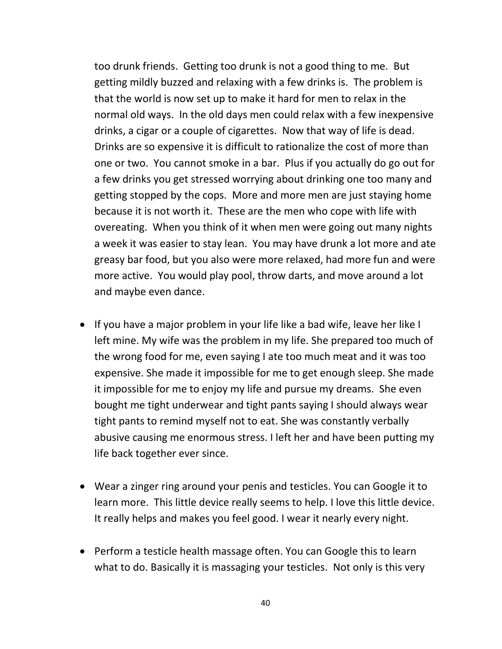too drunk friends. Getting too drunk is not a good thing to me. But getting mildly buzzed and relaxing with a few drinks is. The problem is that the world is now set up to make it hard for men to relax in the normal old ways. In the old days men could relax with a few inexpensive drinks, a cigar or a couple of cigarettes. Now that way of life is dead. Drinks are so expensive it is difficult to rationalize the cost of more than one or two. You cannot smoke in a bar. Plus if you actually do go out for a few drinks you get stressed worrying about drinking one too many and getting stopped by the cops. More and more men are just staying home because it is not worth it. These are the men who cope with life with overeating. When you think of it when men were going out many nights a week it was easier to stay lean. You may have drunk a lot more and ate greasy bar food, but you also were more relaxed, had more fun and were more active. You would play pool, throw darts, and move around a lot and maybe even dance.

- If you have a major problem in your life like a bad wife, leave her like I left mine. My wife was the problem in my life. She prepared too much of the wrong food for me, even saying I ate too much meat and it was too expensive. She made it impossible for me to get enough sleep. She made it impossible for me to enjoy my life and pursue my dreams. She even bought me tight underwear and tight pants saying I should always wear tight pants to remind myself not to eat. She was constantly verbally abusive causing me enormous stress. I left her and have been putting my life back together ever since.
- Wear a zinger ring around your penis and testicles. You can Google it to learn more. This little device really seems to help. I love this little device. It really helps and makes you feel good. I wear it nearly every night.
- Perform a testicle health massage often. You can Google this to learn what to do. Basically it is massaging your testicles. Not only is this very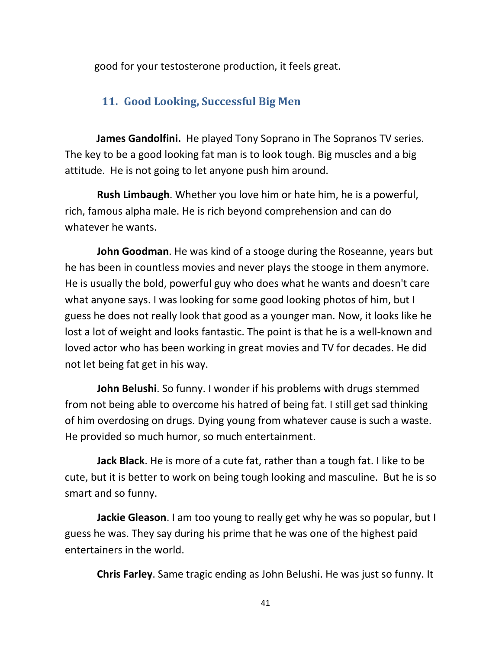good for your testosterone production, it feels great.

#### **11. Good Looking, Successful Big Men**

**James Gandolfini.** He played Tony Soprano in The Sopranos TV series. The key to be a good looking fat man is to look tough. Big muscles and a big attitude. He is not going to let anyone push him around.

**Rush Limbaugh**. Whether you love him or hate him, he is a powerful, rich, famous alpha male. He is rich beyond comprehension and can do whatever he wants.

 **John Goodman**. He was kind of a stooge during the Roseanne, years but he has been in countless movies and never plays the stooge in them anymore. He is usually the bold, powerful guy who does what he wants and doesn't care what anyone says. I was looking for some good looking photos of him, but I guess he does not really look that good as a younger man. Now, it looks like he lost a lot of weight and looks fantastic. The point is that he is a well-known and loved actor who has been working in great movies and TV for decades. He did not let being fat get in his way.

**John Belushi**. So funny. I wonder if his problems with drugs stemmed from not being able to overcome his hatred of being fat. I still get sad thinking of him overdosing on drugs. Dying young from whatever cause is such a waste. He provided so much humor, so much entertainment.

**Jack Black**. He is more of a cute fat, rather than a tough fat. I like to be cute, but it is better to work on being tough looking and masculine. But he is so smart and so funny.

**Jackie Gleason**. I am too young to really get why he was so popular, but I guess he was. They say during his prime that he was one of the highest paid entertainers in the world.

**Chris Farley**. Same tragic ending as John Belushi. He was just so funny. It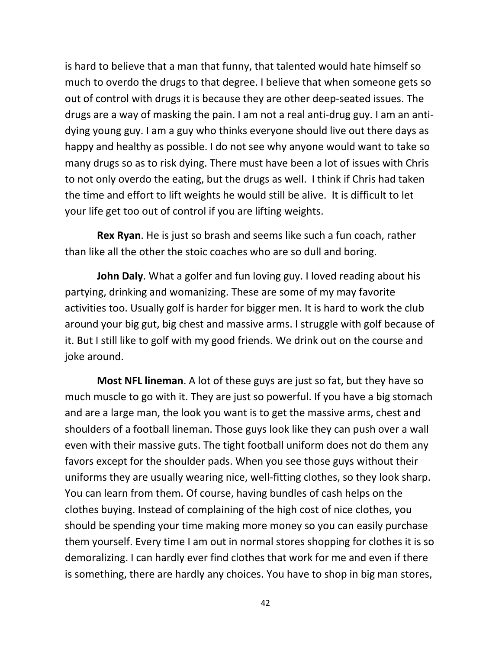is hard to believe that a man that funny, that talented would hate himself so much to overdo the drugs to that degree. I believe that when someone gets so out of control with drugs it is because they are other deep-seated issues. The drugs are a way of masking the pain. I am not a real anti-drug guy. I am an antidying young guy. I am a guy who thinks everyone should live out there days as happy and healthy as possible. I do not see why anyone would want to take so many drugs so as to risk dying. There must have been a lot of issues with Chris to not only overdo the eating, but the drugs as well. I think if Chris had taken the time and effort to lift weights he would still be alive. It is difficult to let your life get too out of control if you are lifting weights.

**Rex Ryan**. He is just so brash and seems like such a fun coach, rather than like all the other the stoic coaches who are so dull and boring.

**John Daly**. What a golfer and fun loving guy. I loved reading about his partying, drinking and womanizing. These are some of my may favorite activities too. Usually golf is harder for bigger men. It is hard to work the club around your big gut, big chest and massive arms. I struggle with golf because of it. But I still like to golf with my good friends. We drink out on the course and joke around.

**Most NFL lineman**. A lot of these guys are just so fat, but they have so much muscle to go with it. They are just so powerful. If you have a big stomach and are a large man, the look you want is to get the massive arms, chest and shoulders of a football lineman. Those guys look like they can push over a wall even with their massive guts. The tight football uniform does not do them any favors except for the shoulder pads. When you see those guys without their uniforms they are usually wearing nice, well-fitting clothes, so they look sharp. You can learn from them. Of course, having bundles of cash helps on the clothes buying. Instead of complaining of the high cost of nice clothes, you should be spending your time making more money so you can easily purchase them yourself. Every time I am out in normal stores shopping for clothes it is so demoralizing. I can hardly ever find clothes that work for me and even if there is something, there are hardly any choices. You have to shop in big man stores,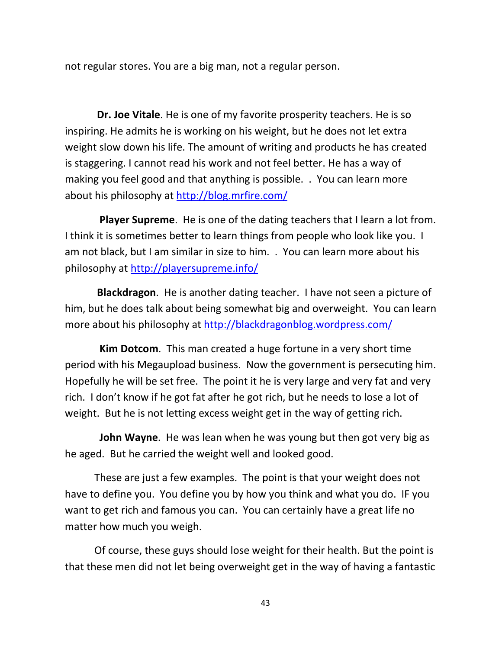not regular stores. You are a big man, not a regular person.

**Dr. Joe Vitale**. He is one of my favorite prosperity teachers. He is so inspiring. He admits he is working on his weight, but he does not let extra weight slow down his life. The amount of writing and products he has created is staggering. I cannot read his work and not feel better. He has a way of making you feel good and that anything is possible. . You can learn more about his philosophy at http://blog.mrfire.com/

 **Player Supreme**. He is one of the dating teachers that I learn a lot from. I think it is sometimes better to learn things from people who look like you. I am not black, but I am similar in size to him. . You can learn more about his philosophy at http://playersupreme.info/

**Blackdragon**. He is another dating teacher. I have not seen a picture of him, but he does talk about being somewhat big and overweight. You can learn more about his philosophy at http://blackdragonblog.wordpress.com/

 **Kim Dotcom**. This man created a huge fortune in a very short time period with his Megaupload business. Now the government is persecuting him. Hopefully he will be set free. The point it he is very large and very fat and very rich. I don't know if he got fat after he got rich, but he needs to lose a lot of weight. But he is not letting excess weight get in the way of getting rich.

 **John Wayne**. He was lean when he was young but then got very big as he aged. But he carried the weight well and looked good.

These are just a few examples. The point is that your weight does not have to define you. You define you by how you think and what you do. IF you want to get rich and famous you can. You can certainly have a great life no matter how much you weigh.

Of course, these guys should lose weight for their health. But the point is that these men did not let being overweight get in the way of having a fantastic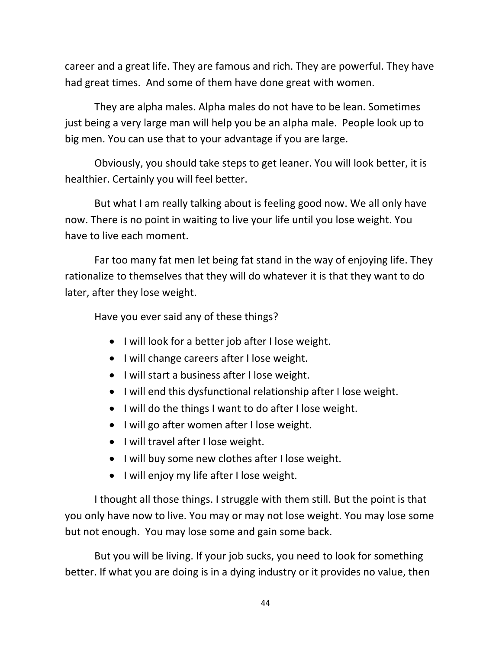career and a great life. They are famous and rich. They are powerful. They have had great times. And some of them have done great with women.

They are alpha males. Alpha males do not have to be lean. Sometimes just being a very large man will help you be an alpha male. People look up to big men. You can use that to your advantage if you are large.

Obviously, you should take steps to get leaner. You will look better, it is healthier. Certainly you will feel better.

But what I am really talking about is feeling good now. We all only have now. There is no point in waiting to live your life until you lose weight. You have to live each moment.

Far too many fat men let being fat stand in the way of enjoying life. They rationalize to themselves that they will do whatever it is that they want to do later, after they lose weight.

Have you ever said any of these things?

- I will look for a better job after I lose weight.
- I will change careers after I lose weight.
- I will start a business after I lose weight.
- I will end this dysfunctional relationship after I lose weight.
- I will do the things I want to do after I lose weight.
- I will go after women after I lose weight.
- I will travel after I lose weight.
- I will buy some new clothes after I lose weight.
- I will enjoy my life after I lose weight.

I thought all those things. I struggle with them still. But the point is that you only have now to live. You may or may not lose weight. You may lose some but not enough. You may lose some and gain some back.

But you will be living. If your job sucks, you need to look for something better. If what you are doing is in a dying industry or it provides no value, then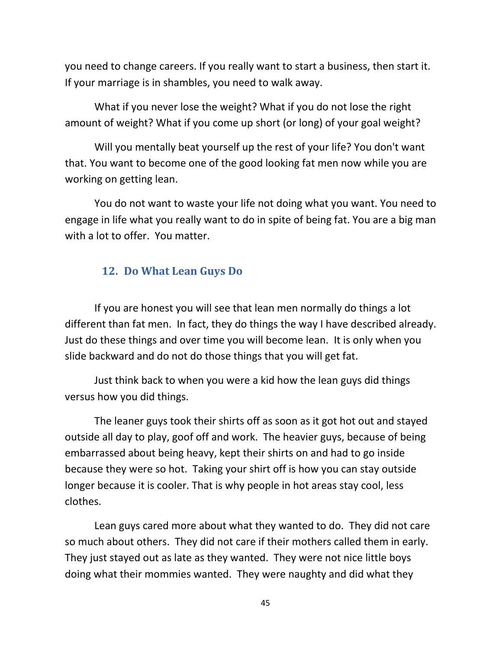you need to change careers. If you really want to start a business, then start it. If your marriage is in shambles, you need to walk away.

What if you never lose the weight? What if you do not lose the right amount of weight? What if you come up short (or long) of your goal weight?

Will you mentally beat yourself up the rest of your life? You don't want that. You want to become one of the good looking fat men now while you are working on getting lean.

You do not want to waste your life not doing what you want. You need to engage in life what you really want to do in spite of being fat. You are a big man with a lot to offer. You matter.

#### **12. Do What Lean Guys Do**

If you are honest you will see that lean men normally do things a lot different than fat men. In fact, they do things the way I have described already. Just do these things and over time you will become lean. It is only when you slide backward and do not do those things that you will get fat.

Just think back to when you were a kid how the lean guys did things versus how you did things.

The leaner guys took their shirts off as soon as it got hot out and stayed outside all day to play, goof off and work. The heavier guys, because of being embarrassed about being heavy, kept their shirts on and had to go inside because they were so hot. Taking your shirt off is how you can stay outside longer because it is cooler. That is why people in hot areas stay cool, less clothes.

Lean guys cared more about what they wanted to do. They did not care so much about others. They did not care if their mothers called them in early. They just stayed out as late as they wanted. They were not nice little boys doing what their mommies wanted. They were naughty and did what they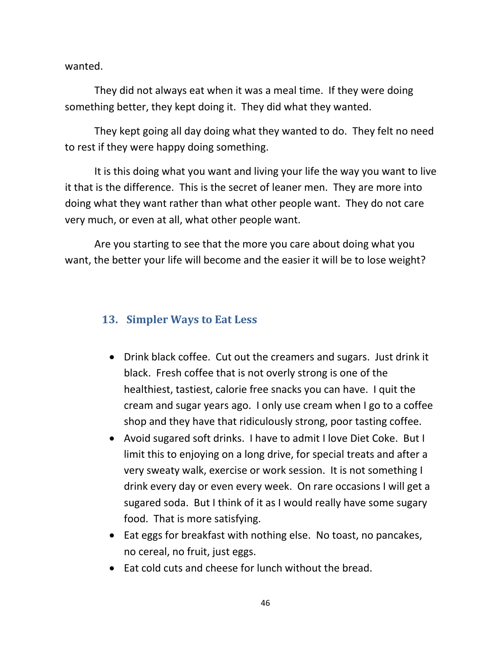wanted.

They did not always eat when it was a meal time. If they were doing something better, they kept doing it. They did what they wanted.

They kept going all day doing what they wanted to do. They felt no need to rest if they were happy doing something.

It is this doing what you want and living your life the way you want to live it that is the difference. This is the secret of leaner men. They are more into doing what they want rather than what other people want. They do not care very much, or even at all, what other people want.

Are you starting to see that the more you care about doing what you want, the better your life will become and the easier it will be to lose weight?

#### **13. Simpler Ways to Eat Less**

- Drink black coffee. Cut out the creamers and sugars. Just drink it black. Fresh coffee that is not overly strong is one of the healthiest, tastiest, calorie free snacks you can have. I quit the cream and sugar years ago. I only use cream when I go to a coffee shop and they have that ridiculously strong, poor tasting coffee.
- Avoid sugared soft drinks. I have to admit I love Diet Coke. But I limit this to enjoying on a long drive, for special treats and after a very sweaty walk, exercise or work session. It is not something I drink every day or even every week. On rare occasions I will get a sugared soda. But I think of it as I would really have some sugary food. That is more satisfying.
- Eat eggs for breakfast with nothing else. No toast, no pancakes, no cereal, no fruit, just eggs.
- Eat cold cuts and cheese for lunch without the bread.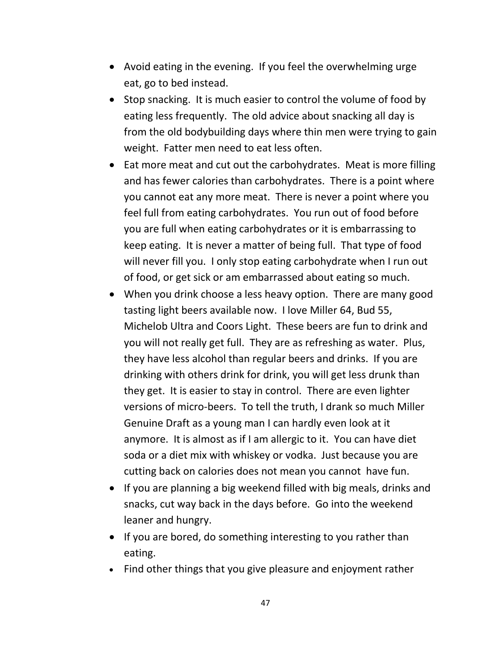- Avoid eating in the evening. If you feel the overwhelming urge eat, go to bed instead.
- Stop snacking. It is much easier to control the volume of food by eating less frequently. The old advice about snacking all day is from the old bodybuilding days where thin men were trying to gain weight. Fatter men need to eat less often.
- Eat more meat and cut out the carbohydrates. Meat is more filling and has fewer calories than carbohydrates. There is a point where you cannot eat any more meat. There is never a point where you feel full from eating carbohydrates. You run out of food before you are full when eating carbohydrates or it is embarrassing to keep eating. It is never a matter of being full. That type of food will never fill you. I only stop eating carbohydrate when I run out of food, or get sick or am embarrassed about eating so much.
- When you drink choose a less heavy option. There are many good tasting light beers available now. I love Miller 64, Bud 55, Michelob Ultra and Coors Light. These beers are fun to drink and you will not really get full. They are as refreshing as water. Plus, they have less alcohol than regular beers and drinks. If you are drinking with others drink for drink, you will get less drunk than they get. It is easier to stay in control. There are even lighter versions of micro-beers. To tell the truth, I drank so much Miller Genuine Draft as a young man I can hardly even look at it anymore. It is almost as if I am allergic to it. You can have diet soda or a diet mix with whiskey or vodka. Just because you are cutting back on calories does not mean you cannot have fun.
- If you are planning a big weekend filled with big meals, drinks and snacks, cut way back in the days before. Go into the weekend leaner and hungry.
- If you are bored, do something interesting to you rather than eating.
- Find other things that you give pleasure and enjoyment rather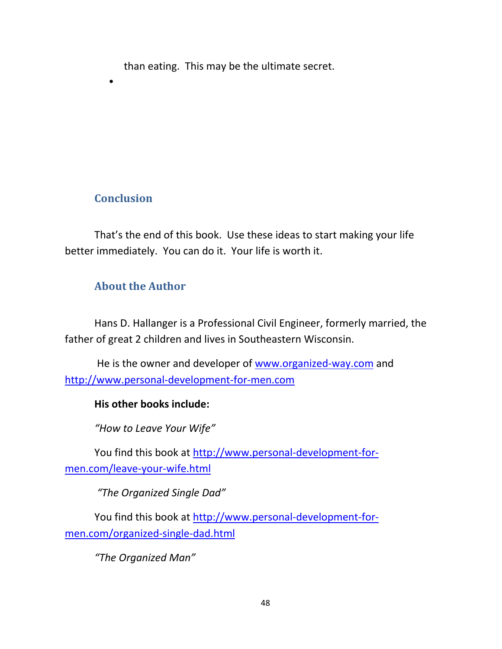than eating. This may be the ultimate secret.

# **Conclusion**

•

That's the end of this book. Use these ideas to start making your life better immediately. You can do it. Your life is worth it.

# **About the Author**

Hans D. Hallanger is a Professional Civil Engineer, formerly married, the father of great 2 children and lives in Southeastern Wisconsin.

 He is the owner and developer of www.organized-way.com and http://www.personal-development-for-men.com

#### **His other books include:**

*"How to Leave Your Wife"* 

You find this book at http://www.personal-development-formen.com/leave-your-wife.html

 *"The Organized Single Dad"* 

You find this book at http://www.personal-development-formen.com/organized-single-dad.html

*"The Organized Man"*